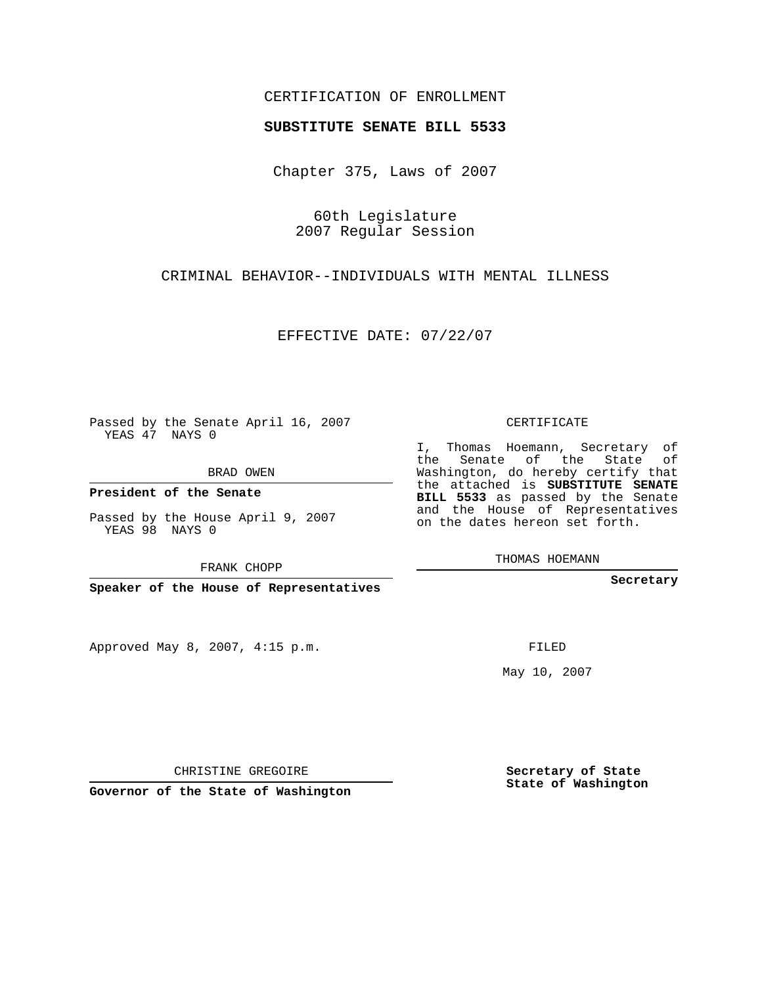## CERTIFICATION OF ENROLLMENT

#### **SUBSTITUTE SENATE BILL 5533**

Chapter 375, Laws of 2007

60th Legislature 2007 Regular Session

CRIMINAL BEHAVIOR--INDIVIDUALS WITH MENTAL ILLNESS

EFFECTIVE DATE: 07/22/07

Passed by the Senate April 16, 2007 YEAS 47 NAYS 0

BRAD OWEN

**President of the Senate**

Passed by the House April 9, 2007 YEAS 98 NAYS 0

FRANK CHOPP

**Speaker of the House of Representatives**

Approved May 8, 2007, 4:15 p.m.

CERTIFICATE

I, Thomas Hoemann, Secretary of the Senate of the State of Washington, do hereby certify that the attached is **SUBSTITUTE SENATE BILL 5533** as passed by the Senate and the House of Representatives on the dates hereon set forth.

THOMAS HOEMANN

**Secretary**

FILED

May 10, 2007

**Secretary of State State of Washington**

CHRISTINE GREGOIRE

**Governor of the State of Washington**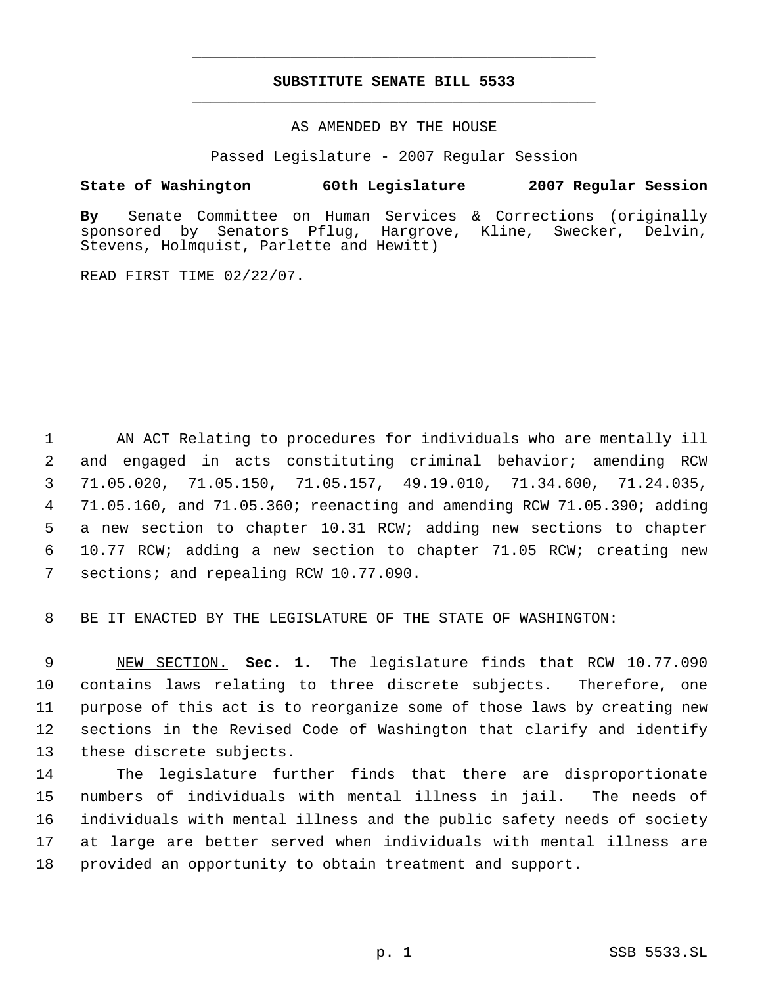## **SUBSTITUTE SENATE BILL 5533** \_\_\_\_\_\_\_\_\_\_\_\_\_\_\_\_\_\_\_\_\_\_\_\_\_\_\_\_\_\_\_\_\_\_\_\_\_\_\_\_\_\_\_\_\_

\_\_\_\_\_\_\_\_\_\_\_\_\_\_\_\_\_\_\_\_\_\_\_\_\_\_\_\_\_\_\_\_\_\_\_\_\_\_\_\_\_\_\_\_\_

## AS AMENDED BY THE HOUSE

Passed Legislature - 2007 Regular Session

## **State of Washington 60th Legislature 2007 Regular Session**

**By** Senate Committee on Human Services & Corrections (originally Senators Pflug, Hargrove, Kline, Swecker, Delvin, Stevens, Holmquist, Parlette and Hewitt)

READ FIRST TIME 02/22/07.

 AN ACT Relating to procedures for individuals who are mentally ill and engaged in acts constituting criminal behavior; amending RCW 71.05.020, 71.05.150, 71.05.157, 49.19.010, 71.34.600, 71.24.035, 71.05.160, and 71.05.360; reenacting and amending RCW 71.05.390; adding a new section to chapter 10.31 RCW; adding new sections to chapter 10.77 RCW; adding a new section to chapter 71.05 RCW; creating new 7 sections; and repealing RCW 10.77.090.

8 BE IT ENACTED BY THE LEGISLATURE OF THE STATE OF WASHINGTON:

 NEW SECTION. **Sec. 1.** The legislature finds that RCW 10.77.090 contains laws relating to three discrete subjects. Therefore, one purpose of this act is to reorganize some of those laws by creating new sections in the Revised Code of Washington that clarify and identify these discrete subjects.

 The legislature further finds that there are disproportionate numbers of individuals with mental illness in jail. The needs of individuals with mental illness and the public safety needs of society at large are better served when individuals with mental illness are provided an opportunity to obtain treatment and support.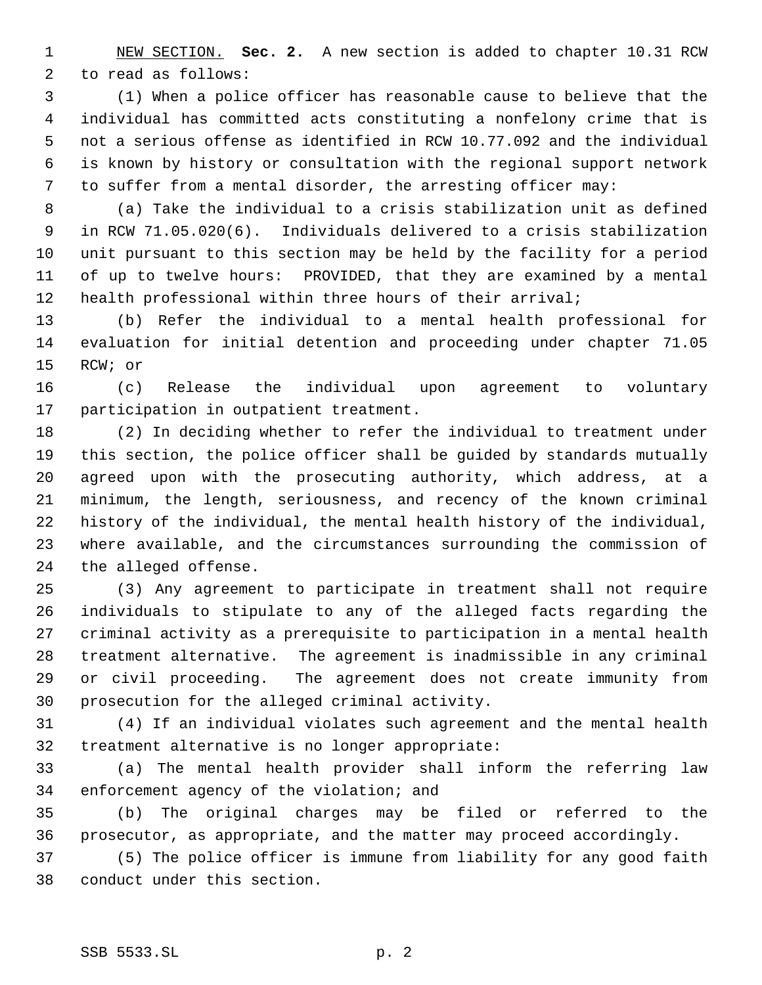NEW SECTION. **Sec. 2.** A new section is added to chapter 10.31 RCW to read as follows:

 (1) When a police officer has reasonable cause to believe that the individual has committed acts constituting a nonfelony crime that is not a serious offense as identified in RCW 10.77.092 and the individual is known by history or consultation with the regional support network to suffer from a mental disorder, the arresting officer may:

 (a) Take the individual to a crisis stabilization unit as defined in RCW 71.05.020(6). Individuals delivered to a crisis stabilization unit pursuant to this section may be held by the facility for a period of up to twelve hours: PROVIDED, that they are examined by a mental health professional within three hours of their arrival;

 (b) Refer the individual to a mental health professional for evaluation for initial detention and proceeding under chapter 71.05 RCW; or

 (c) Release the individual upon agreement to voluntary participation in outpatient treatment.

 (2) In deciding whether to refer the individual to treatment under this section, the police officer shall be guided by standards mutually agreed upon with the prosecuting authority, which address, at a minimum, the length, seriousness, and recency of the known criminal history of the individual, the mental health history of the individual, where available, and the circumstances surrounding the commission of the alleged offense.

 (3) Any agreement to participate in treatment shall not require individuals to stipulate to any of the alleged facts regarding the criminal activity as a prerequisite to participation in a mental health treatment alternative. The agreement is inadmissible in any criminal or civil proceeding. The agreement does not create immunity from prosecution for the alleged criminal activity.

 (4) If an individual violates such agreement and the mental health treatment alternative is no longer appropriate:

 (a) The mental health provider shall inform the referring law enforcement agency of the violation; and

 (b) The original charges may be filed or referred to the prosecutor, as appropriate, and the matter may proceed accordingly.

 (5) The police officer is immune from liability for any good faith conduct under this section.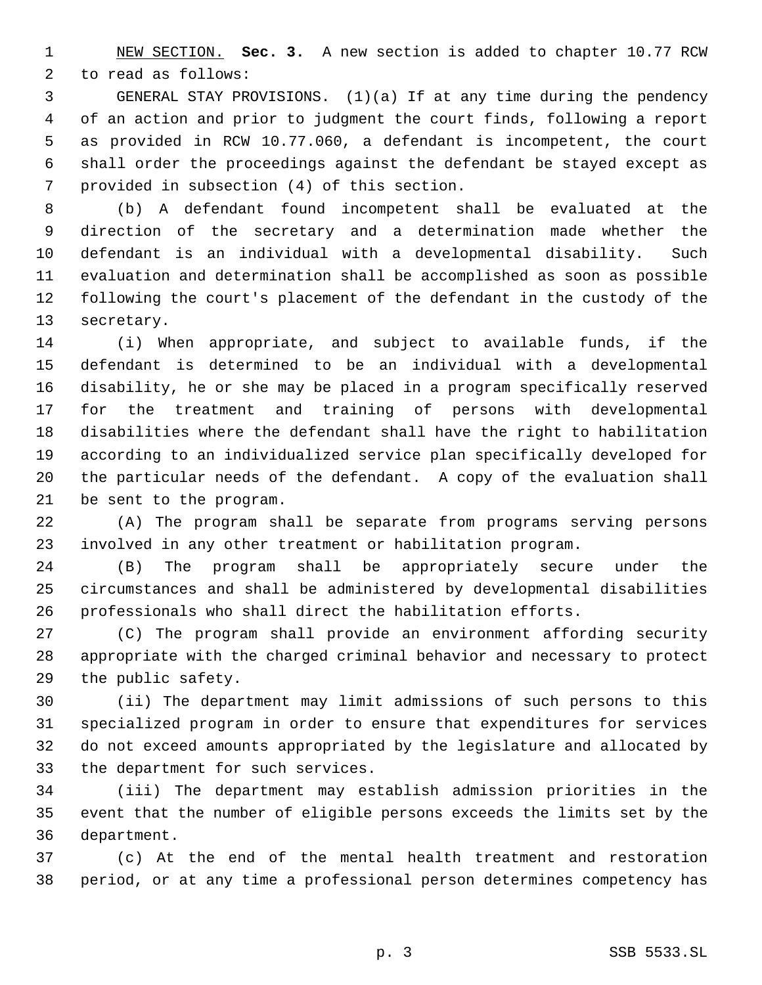NEW SECTION. **Sec. 3.** A new section is added to chapter 10.77 RCW to read as follows:

 GENERAL STAY PROVISIONS. (1)(a) If at any time during the pendency of an action and prior to judgment the court finds, following a report as provided in RCW 10.77.060, a defendant is incompetent, the court shall order the proceedings against the defendant be stayed except as provided in subsection (4) of this section.

 (b) A defendant found incompetent shall be evaluated at the direction of the secretary and a determination made whether the defendant is an individual with a developmental disability. Such evaluation and determination shall be accomplished as soon as possible following the court's placement of the defendant in the custody of the secretary.

 (i) When appropriate, and subject to available funds, if the defendant is determined to be an individual with a developmental disability, he or she may be placed in a program specifically reserved for the treatment and training of persons with developmental disabilities where the defendant shall have the right to habilitation according to an individualized service plan specifically developed for the particular needs of the defendant. A copy of the evaluation shall be sent to the program.

 (A) The program shall be separate from programs serving persons involved in any other treatment or habilitation program.

 (B) The program shall be appropriately secure under the circumstances and shall be administered by developmental disabilities professionals who shall direct the habilitation efforts.

 (C) The program shall provide an environment affording security appropriate with the charged criminal behavior and necessary to protect the public safety.

 (ii) The department may limit admissions of such persons to this specialized program in order to ensure that expenditures for services do not exceed amounts appropriated by the legislature and allocated by the department for such services.

 (iii) The department may establish admission priorities in the event that the number of eligible persons exceeds the limits set by the department.

 (c) At the end of the mental health treatment and restoration period, or at any time a professional person determines competency has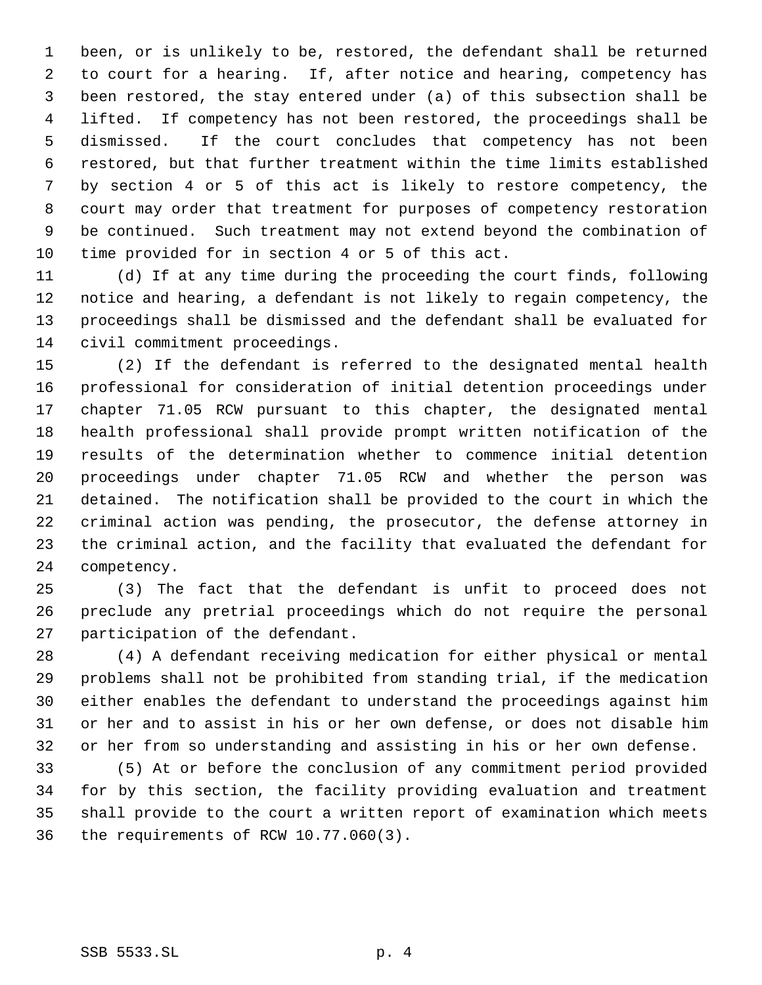been, or is unlikely to be, restored, the defendant shall be returned to court for a hearing. If, after notice and hearing, competency has been restored, the stay entered under (a) of this subsection shall be lifted. If competency has not been restored, the proceedings shall be dismissed. If the court concludes that competency has not been restored, but that further treatment within the time limits established by section 4 or 5 of this act is likely to restore competency, the court may order that treatment for purposes of competency restoration be continued. Such treatment may not extend beyond the combination of time provided for in section 4 or 5 of this act.

 (d) If at any time during the proceeding the court finds, following notice and hearing, a defendant is not likely to regain competency, the proceedings shall be dismissed and the defendant shall be evaluated for civil commitment proceedings.

 (2) If the defendant is referred to the designated mental health professional for consideration of initial detention proceedings under chapter 71.05 RCW pursuant to this chapter, the designated mental health professional shall provide prompt written notification of the results of the determination whether to commence initial detention proceedings under chapter 71.05 RCW and whether the person was detained. The notification shall be provided to the court in which the criminal action was pending, the prosecutor, the defense attorney in the criminal action, and the facility that evaluated the defendant for competency.

 (3) The fact that the defendant is unfit to proceed does not preclude any pretrial proceedings which do not require the personal participation of the defendant.

 (4) A defendant receiving medication for either physical or mental problems shall not be prohibited from standing trial, if the medication either enables the defendant to understand the proceedings against him or her and to assist in his or her own defense, or does not disable him or her from so understanding and assisting in his or her own defense.

 (5) At or before the conclusion of any commitment period provided for by this section, the facility providing evaluation and treatment shall provide to the court a written report of examination which meets the requirements of RCW 10.77.060(3).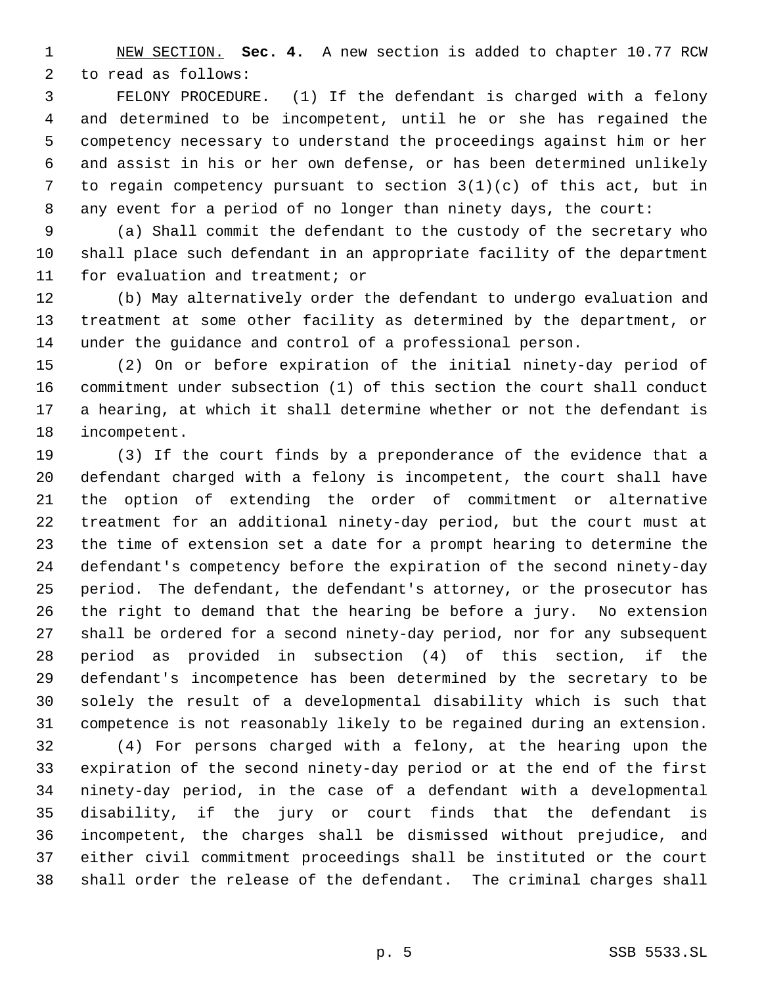NEW SECTION. **Sec. 4.** A new section is added to chapter 10.77 RCW to read as follows:

 FELONY PROCEDURE. (1) If the defendant is charged with a felony and determined to be incompetent, until he or she has regained the competency necessary to understand the proceedings against him or her and assist in his or her own defense, or has been determined unlikely to regain competency pursuant to section 3(1)(c) of this act, but in any event for a period of no longer than ninety days, the court:

 (a) Shall commit the defendant to the custody of the secretary who shall place such defendant in an appropriate facility of the department for evaluation and treatment; or

 (b) May alternatively order the defendant to undergo evaluation and treatment at some other facility as determined by the department, or under the guidance and control of a professional person.

 (2) On or before expiration of the initial ninety-day period of commitment under subsection (1) of this section the court shall conduct a hearing, at which it shall determine whether or not the defendant is incompetent.

 (3) If the court finds by a preponderance of the evidence that a defendant charged with a felony is incompetent, the court shall have the option of extending the order of commitment or alternative treatment for an additional ninety-day period, but the court must at the time of extension set a date for a prompt hearing to determine the defendant's competency before the expiration of the second ninety-day period. The defendant, the defendant's attorney, or the prosecutor has the right to demand that the hearing be before a jury. No extension shall be ordered for a second ninety-day period, nor for any subsequent period as provided in subsection (4) of this section, if the defendant's incompetence has been determined by the secretary to be solely the result of a developmental disability which is such that competence is not reasonably likely to be regained during an extension.

 (4) For persons charged with a felony, at the hearing upon the expiration of the second ninety-day period or at the end of the first ninety-day period, in the case of a defendant with a developmental disability, if the jury or court finds that the defendant is incompetent, the charges shall be dismissed without prejudice, and either civil commitment proceedings shall be instituted or the court shall order the release of the defendant. The criminal charges shall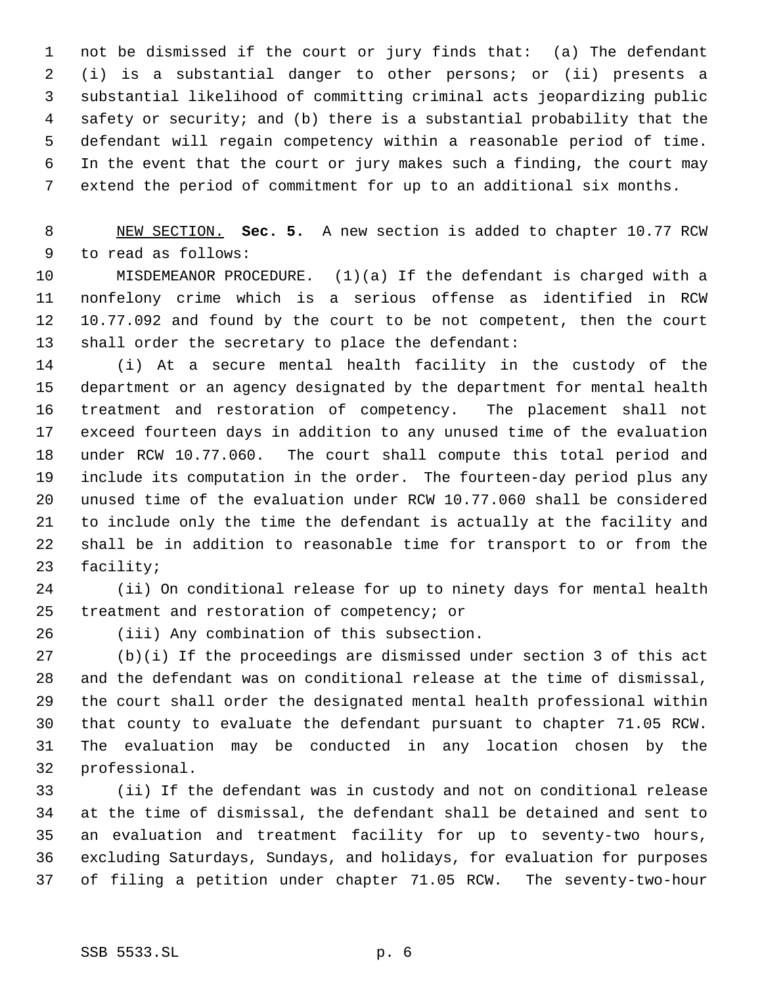not be dismissed if the court or jury finds that: (a) The defendant (i) is a substantial danger to other persons; or (ii) presents a substantial likelihood of committing criminal acts jeopardizing public safety or security; and (b) there is a substantial probability that the defendant will regain competency within a reasonable period of time. In the event that the court or jury makes such a finding, the court may extend the period of commitment for up to an additional six months.

 NEW SECTION. **Sec. 5.** A new section is added to chapter 10.77 RCW to read as follows:

 MISDEMEANOR PROCEDURE. (1)(a) If the defendant is charged with a nonfelony crime which is a serious offense as identified in RCW 10.77.092 and found by the court to be not competent, then the court shall order the secretary to place the defendant:

 (i) At a secure mental health facility in the custody of the department or an agency designated by the department for mental health treatment and restoration of competency. The placement shall not exceed fourteen days in addition to any unused time of the evaluation under RCW 10.77.060. The court shall compute this total period and include its computation in the order. The fourteen-day period plus any unused time of the evaluation under RCW 10.77.060 shall be considered to include only the time the defendant is actually at the facility and shall be in addition to reasonable time for transport to or from the facility;

 (ii) On conditional release for up to ninety days for mental health treatment and restoration of competency; or

(iii) Any combination of this subsection.

 (b)(i) If the proceedings are dismissed under section 3 of this act and the defendant was on conditional release at the time of dismissal, the court shall order the designated mental health professional within that county to evaluate the defendant pursuant to chapter 71.05 RCW. The evaluation may be conducted in any location chosen by the professional.

 (ii) If the defendant was in custody and not on conditional release at the time of dismissal, the defendant shall be detained and sent to an evaluation and treatment facility for up to seventy-two hours, excluding Saturdays, Sundays, and holidays, for evaluation for purposes of filing a petition under chapter 71.05 RCW. The seventy-two-hour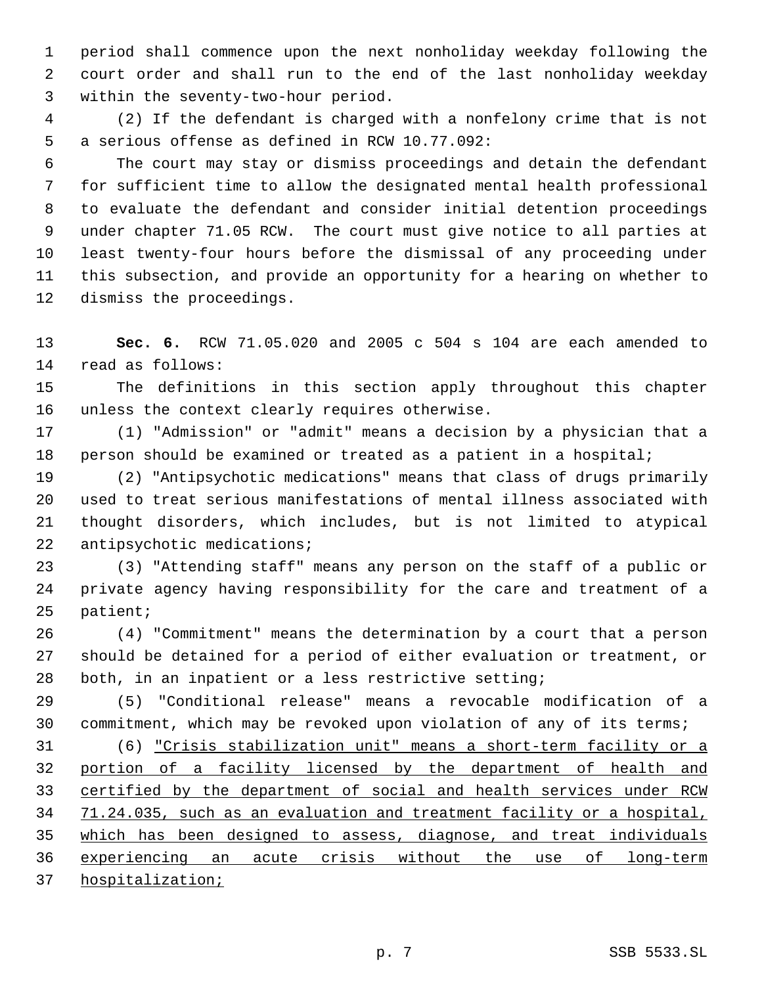period shall commence upon the next nonholiday weekday following the court order and shall run to the end of the last nonholiday weekday within the seventy-two-hour period.

 (2) If the defendant is charged with a nonfelony crime that is not a serious offense as defined in RCW 10.77.092:

 The court may stay or dismiss proceedings and detain the defendant for sufficient time to allow the designated mental health professional to evaluate the defendant and consider initial detention proceedings under chapter 71.05 RCW. The court must give notice to all parties at least twenty-four hours before the dismissal of any proceeding under this subsection, and provide an opportunity for a hearing on whether to dismiss the proceedings.

 **Sec. 6.** RCW 71.05.020 and 2005 c 504 s 104 are each amended to read as follows:

 The definitions in this section apply throughout this chapter unless the context clearly requires otherwise.

 (1) "Admission" or "admit" means a decision by a physician that a person should be examined or treated as a patient in a hospital;

 (2) "Antipsychotic medications" means that class of drugs primarily used to treat serious manifestations of mental illness associated with thought disorders, which includes, but is not limited to atypical 22 antipsychotic medications;

 (3) "Attending staff" means any person on the staff of a public or private agency having responsibility for the care and treatment of a patient;

 (4) "Commitment" means the determination by a court that a person should be detained for a period of either evaluation or treatment, or both, in an inpatient or a less restrictive setting;

 (5) "Conditional release" means a revocable modification of a commitment, which may be revoked upon violation of any of its terms;

 (6) "Crisis stabilization unit" means a short-term facility or a portion of a facility licensed by the department of health and certified by the department of social and health services under RCW 71.24.035, such as an evaluation and treatment facility or a hospital, which has been designed to assess, diagnose, and treat individuals experiencing an acute crisis without the use of long-term hospitalization;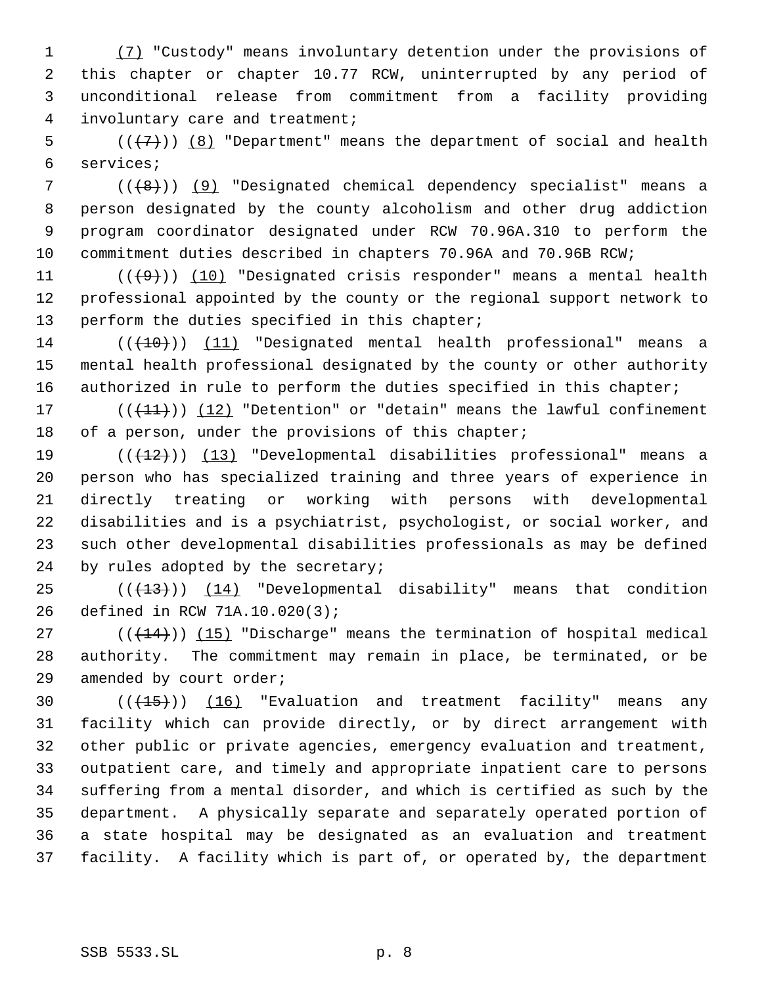(7) "Custody" means involuntary detention under the provisions of this chapter or chapter 10.77 RCW, uninterrupted by any period of unconditional release from commitment from a facility providing involuntary care and treatment;

5  $((+7))$   $(8)$  "Department" means the department of social and health services;

7 (((8)) (9) "Designated chemical dependency specialist" means a person designated by the county alcoholism and other drug addiction program coordinator designated under RCW 70.96A.310 to perform the commitment duties described in chapters 70.96A and 70.96B RCW;

11  $((+9))$  (10) "Designated crisis responder" means a mental health professional appointed by the county or the regional support network to 13 perform the duties specified in this chapter;

14 (( $(10)$ ) (11) "Designated mental health professional" means a mental health professional designated by the county or other authority 16 authorized in rule to perform the duties specified in this chapter;

17 (( $(11)$ )) (12) "Detention" or "detain" means the lawful confinement 18 of a person, under the provisions of this chapter;

19 (((12))) (13) "Developmental disabilities professional" means a person who has specialized training and three years of experience in directly treating or working with persons with developmental disabilities and is a psychiatrist, psychologist, or social worker, and such other developmental disabilities professionals as may be defined 24 by rules adopted by the secretary;

25  $((+13))$   $(14)$  "Developmental disability" means that condition defined in RCW 71A.10.020(3);

27  $((+14))$   $(15)$  "Discharge" means the termination of hospital medical authority. The commitment may remain in place, be terminated, or be amended by court order;

 $((+15))$   $(16)$  "Evaluation and treatment facility" means any facility which can provide directly, or by direct arrangement with other public or private agencies, emergency evaluation and treatment, outpatient care, and timely and appropriate inpatient care to persons suffering from a mental disorder, and which is certified as such by the department. A physically separate and separately operated portion of a state hospital may be designated as an evaluation and treatment facility. A facility which is part of, or operated by, the department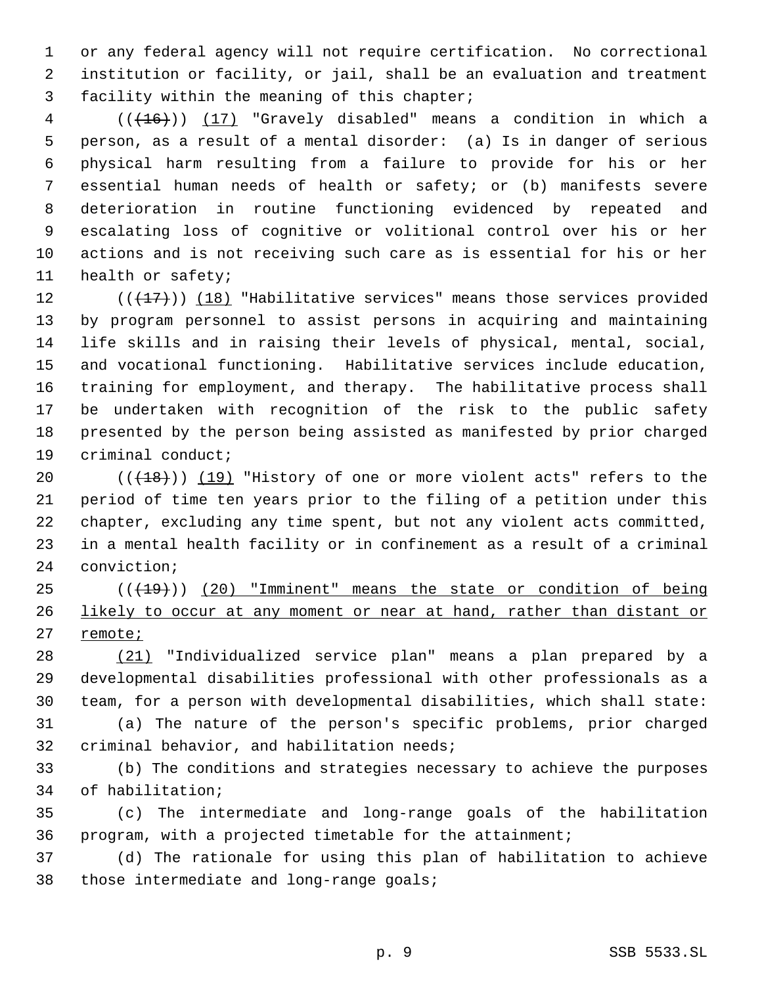or any federal agency will not require certification. No correctional institution or facility, or jail, shall be an evaluation and treatment facility within the meaning of this chapter;

 (((16))) (17) "Gravely disabled" means a condition in which a person, as a result of a mental disorder: (a) Is in danger of serious physical harm resulting from a failure to provide for his or her essential human needs of health or safety; or (b) manifests severe deterioration in routine functioning evidenced by repeated and escalating loss of cognitive or volitional control over his or her actions and is not receiving such care as is essential for his or her health or safety;

 $((+17))$  (18) "Habilitative services" means those services provided by program personnel to assist persons in acquiring and maintaining life skills and in raising their levels of physical, mental, social, and vocational functioning. Habilitative services include education, training for employment, and therapy. The habilitative process shall be undertaken with recognition of the risk to the public safety presented by the person being assisted as manifested by prior charged criminal conduct;

 $((+18))$   $(19)$  "History of one or more violent acts" refers to the period of time ten years prior to the filing of a petition under this chapter, excluding any time spent, but not any violent acts committed, in a mental health facility or in confinement as a result of a criminal conviction;

25 (( $(19)$ )) (20) "Imminent" means the state or condition of being likely to occur at any moment or near at hand, rather than distant or 27 remote<sub>i</sub>

 (21) "Individualized service plan" means a plan prepared by a developmental disabilities professional with other professionals as a team, for a person with developmental disabilities, which shall state:

 (a) The nature of the person's specific problems, prior charged criminal behavior, and habilitation needs;

 (b) The conditions and strategies necessary to achieve the purposes of habilitation;

 (c) The intermediate and long-range goals of the habilitation program, with a projected timetable for the attainment;

 (d) The rationale for using this plan of habilitation to achieve those intermediate and long-range goals;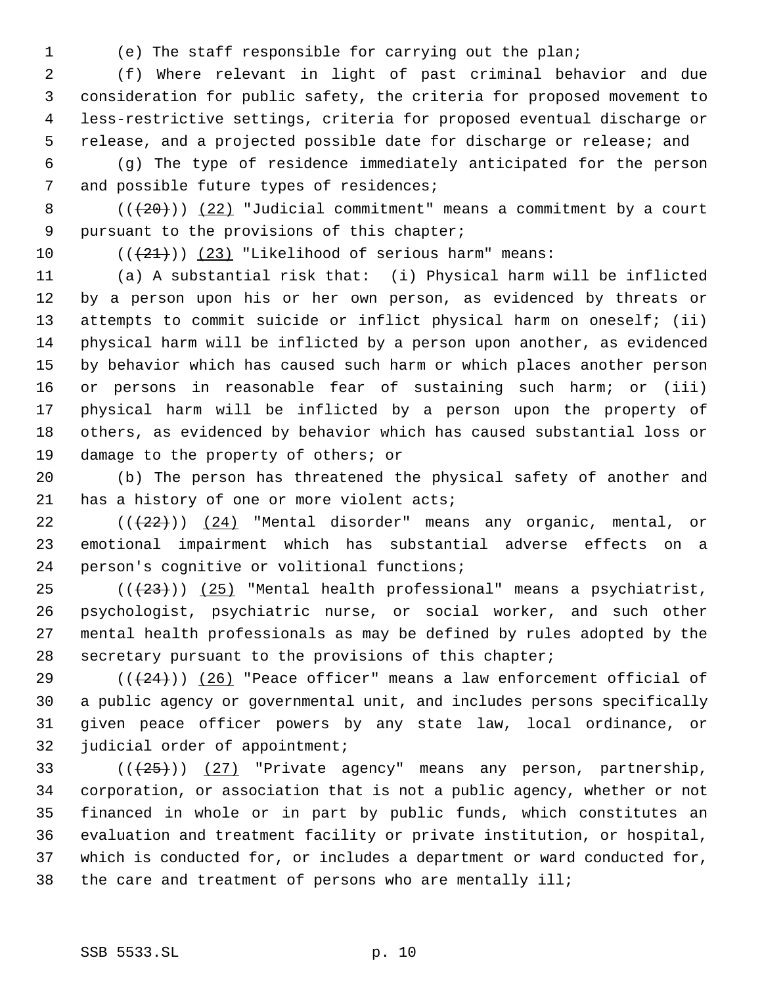(e) The staff responsible for carrying out the plan;

 (f) Where relevant in light of past criminal behavior and due consideration for public safety, the criteria for proposed movement to less-restrictive settings, criteria for proposed eventual discharge or release, and a projected possible date for discharge or release; and

 (g) The type of residence immediately anticipated for the person 7 and possible future types of residences;

8  $((+20))$   $(22)$  "Judicial commitment" means a commitment by a court pursuant to the provisions of this chapter;

10  $((+21))$  (23) "Likelihood of serious harm" means:

 (a) A substantial risk that: (i) Physical harm will be inflicted by a person upon his or her own person, as evidenced by threats or attempts to commit suicide or inflict physical harm on oneself; (ii) physical harm will be inflicted by a person upon another, as evidenced by behavior which has caused such harm or which places another person or persons in reasonable fear of sustaining such harm; or (iii) physical harm will be inflicted by a person upon the property of others, as evidenced by behavior which has caused substantial loss or damage to the property of others; or

 (b) The person has threatened the physical safety of another and 21 has a history of one or more violent acts;

22  $((+22))$   $(24)$  "Mental disorder" means any organic, mental, or emotional impairment which has substantial adverse effects on a person's cognitive or volitional functions;

 $((+23))$   $(25)$  "Mental health professional" means a psychiatrist, psychologist, psychiatric nurse, or social worker, and such other mental health professionals as may be defined by rules adopted by the secretary pursuant to the provisions of this chapter;

29 ( $(\frac{24}{24})$ ) (26) "Peace officer" means a law enforcement official of a public agency or governmental unit, and includes persons specifically given peace officer powers by any state law, local ordinance, or judicial order of appointment;

 $((+25))$   $(27)$  "Private agency" means any person, partnership, corporation, or association that is not a public agency, whether or not financed in whole or in part by public funds, which constitutes an evaluation and treatment facility or private institution, or hospital, which is conducted for, or includes a department or ward conducted for, the care and treatment of persons who are mentally ill;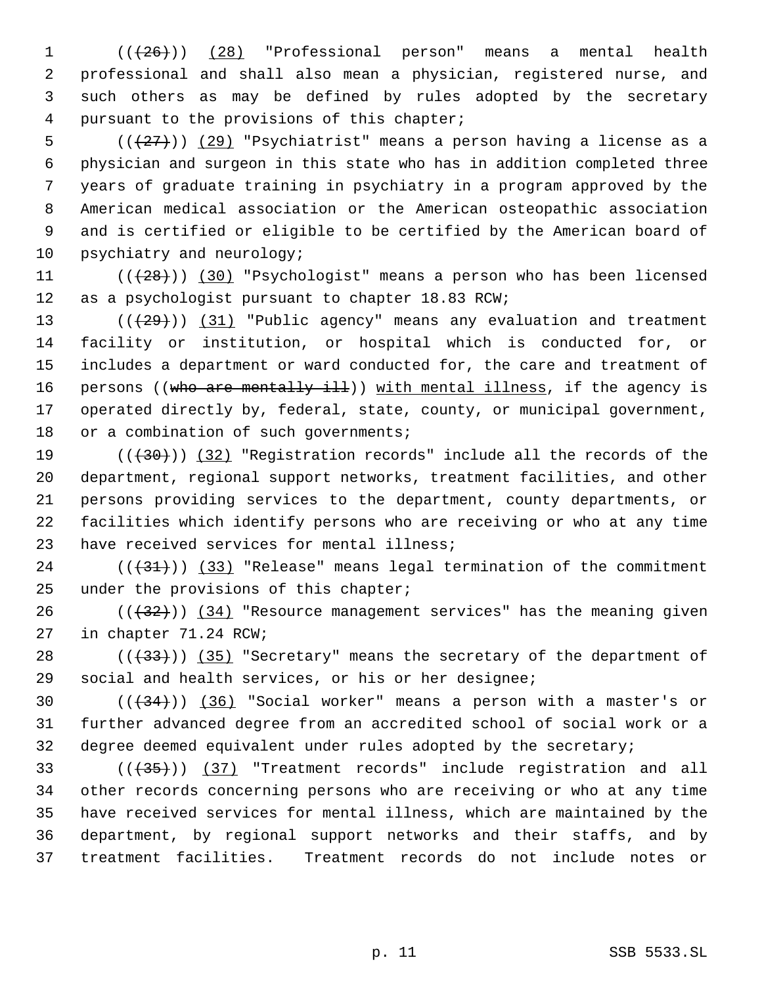1 (( $(26)$ )) (28) "Professional person" means a mental health professional and shall also mean a physician, registered nurse, and such others as may be defined by rules adopted by the secretary pursuant to the provisions of this chapter;

 $((+27))$   $(29)$  "Psychiatrist" means a person having a license as a physician and surgeon in this state who has in addition completed three years of graduate training in psychiatry in a program approved by the American medical association or the American osteopathic association and is certified or eligible to be certified by the American board of 10 psychiatry and neurology;

11  $((+28))$   $(30)$  "Psychologist" means a person who has been licensed as a psychologist pursuant to chapter 18.83 RCW;

 $((+29))$   $(31)$  "Public agency" means any evaluation and treatment facility or institution, or hospital which is conducted for, or includes a department or ward conducted for, the care and treatment of 16 persons ((who are mentally ill)) with mental illness, if the agency is operated directly by, federal, state, county, or municipal government, 18 or a combination of such governments;

 $((+30))$   $(32)$  "Registration records" include all the records of the department, regional support networks, treatment facilities, and other persons providing services to the department, county departments, or facilities which identify persons who are receiving or who at any time have received services for mental illness;

 ( $(\frac{31}{})$ )  $(33)$  "Release" means legal termination of the commitment 25 under the provisions of this chapter;

 $((+32))$   $(34)$  "Resource management services" has the meaning given in chapter 71.24 RCW;

28  $((+33))$   $(35)$  "Secretary" means the secretary of the department of social and health services, or his or her designee;

30  $((+34))$   $(36)$  "Social worker" means a person with a master's or further advanced degree from an accredited school of social work or a degree deemed equivalent under rules adopted by the secretary;

33 (((435))) (37) "Treatment records" include registration and all other records concerning persons who are receiving or who at any time have received services for mental illness, which are maintained by the department, by regional support networks and their staffs, and by treatment facilities. Treatment records do not include notes or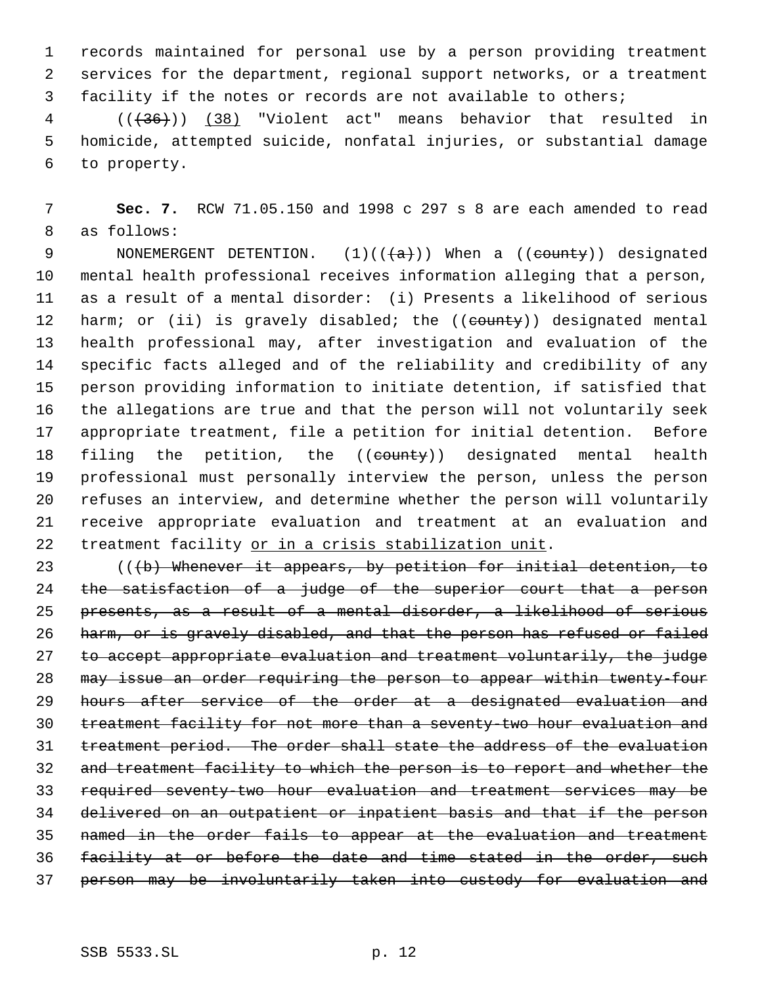records maintained for personal use by a person providing treatment services for the department, regional support networks, or a treatment facility if the notes or records are not available to others;

 (((36))) (38) "Violent act" means behavior that resulted in homicide, attempted suicide, nonfatal injuries, or substantial damage to property.

 **Sec. 7.** RCW 71.05.150 and 1998 c 297 s 8 are each amended to read as follows:

9 NONEMERGENT DETENTION.  $(1)((\{a\}))$  When a  $((\text{county}))$  designated mental health professional receives information alleging that a person, as a result of a mental disorder: (i) Presents a likelihood of serious 12 harm; or (ii) is gravely disabled; the ((county)) designated mental health professional may, after investigation and evaluation of the specific facts alleged and of the reliability and credibility of any person providing information to initiate detention, if satisfied that the allegations are true and that the person will not voluntarily seek appropriate treatment, file a petition for initial detention. Before 18 filing the petition, the ((county)) designated mental health professional must personally interview the person, unless the person refuses an interview, and determine whether the person will voluntarily receive appropriate evaluation and treatment at an evaluation and 22 treatment facility or in a crisis stabilization unit.

 (((b) Whenever it appears, by petition for initial detention, to 24 the satisfaction of a judge of the superior court that a person presents, as a result of a mental disorder, a likelihood of serious 26 harm, or is gravely disabled, and that the person has refused or failed to accept appropriate evaluation and treatment voluntarily, the judge may issue an order requiring the person to appear within twenty-four hours after service of the order at a designated evaluation and treatment facility for not more than a seventy-two hour evaluation and treatment period. The order shall state the address of the evaluation and treatment facility to which the person is to report and whether the required seventy-two hour evaluation and treatment services may be delivered on an outpatient or inpatient basis and that if the person named in the order fails to appear at the evaluation and treatment facility at or before the date and time stated in the order, such person may be involuntarily taken into custody for evaluation and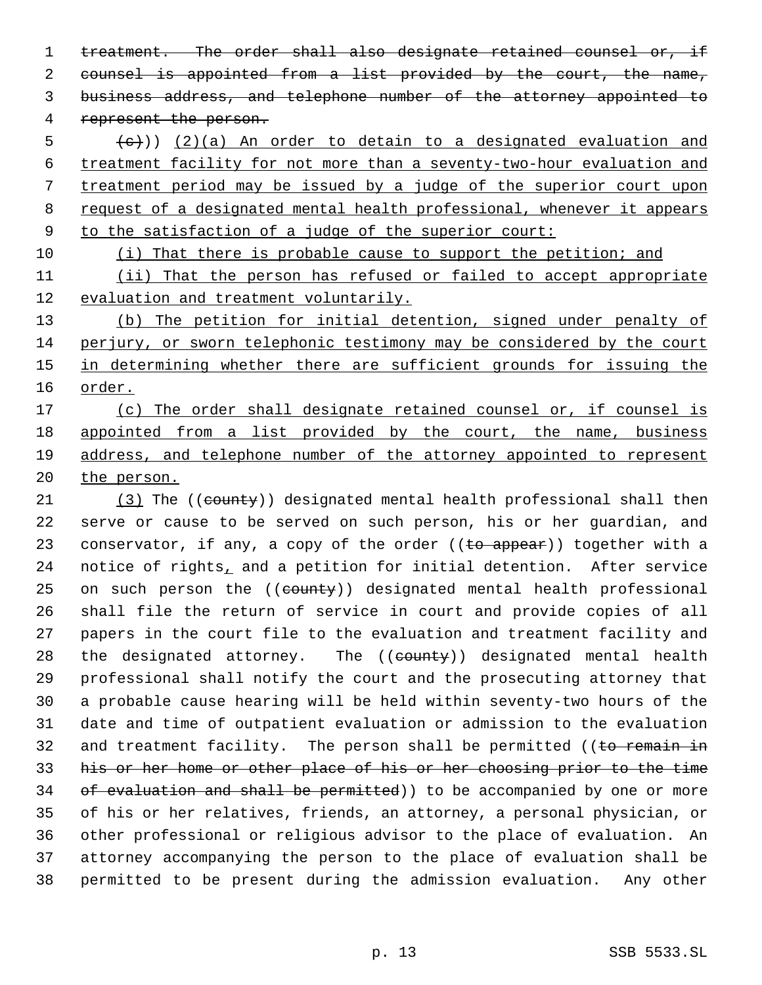1 treatment. The order shall also designate retained counsel or, if counsel is appointed from a list provided by the court, the name, business address, and telephone number of the attorney appointed to represent the person.

 $(6 + 6)$ ) (2)(a) An order to detain to a designated evaluation and treatment facility for not more than a seventy-two-hour evaluation and treatment period may be issued by a judge of the superior court upon request of a designated mental health professional, whenever it appears to the satisfaction of a judge of the superior court:

(i) That there is probable cause to support the petition; and

 (ii) That the person has refused or failed to accept appropriate evaluation and treatment voluntarily.

 (b) The petition for initial detention, signed under penalty of perjury, or sworn telephonic testimony may be considered by the court 15 in determining whether there are sufficient grounds for issuing the order.

 (c) The order shall designate retained counsel or, if counsel is 18 appointed from a list provided by the court, the name, business address, and telephone number of the attorney appointed to represent 20 the person.

21 (3) The ((county)) designated mental health professional shall then serve or cause to be served on such person, his or her guardian, and 23 conservator, if any, a copy of the order  $((\text{to appear}))$  together with a 24 notice of rights, and a petition for initial detention. After service 25 on such person the ((county)) designated mental health professional shall file the return of service in court and provide copies of all papers in the court file to the evaluation and treatment facility and 28 the designated attorney. The ((county)) designated mental health professional shall notify the court and the prosecuting attorney that a probable cause hearing will be held within seventy-two hours of the date and time of outpatient evaluation or admission to the evaluation 32 and treatment facility. The person shall be permitted (( $t$ o remain in his or her home or other place of his or her choosing prior to the time 34 of evaluation and shall be permitted) to be accompanied by one or more of his or her relatives, friends, an attorney, a personal physician, or other professional or religious advisor to the place of evaluation. An attorney accompanying the person to the place of evaluation shall be permitted to be present during the admission evaluation. Any other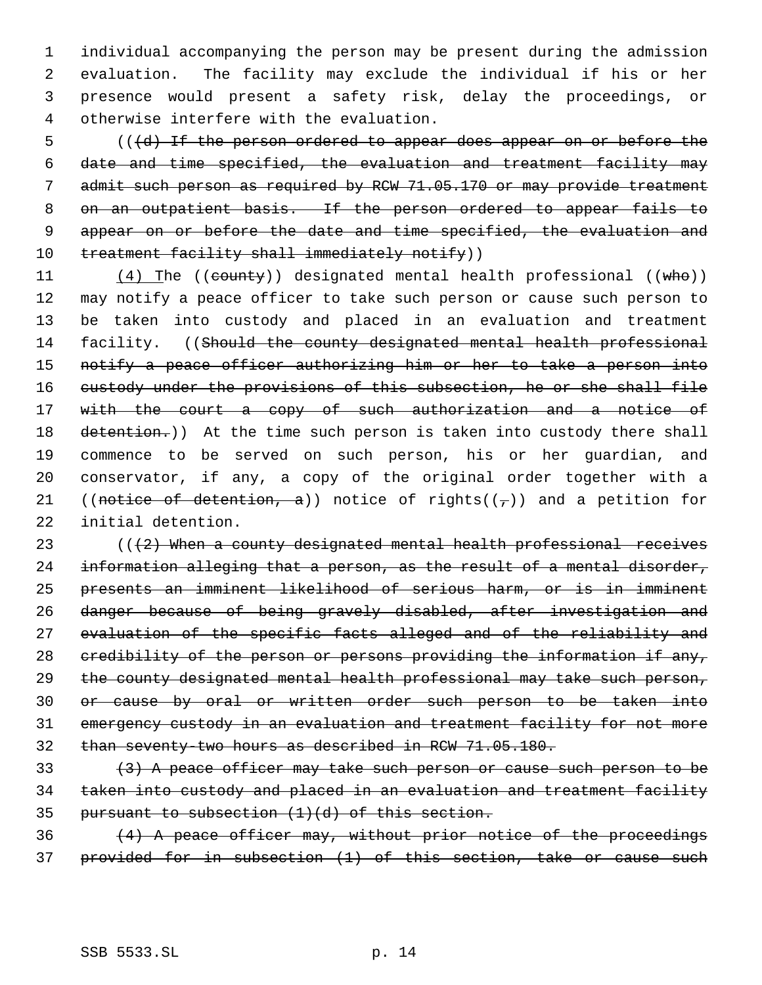individual accompanying the person may be present during the admission evaluation. The facility may exclude the individual if his or her presence would present a safety risk, delay the proceedings, or otherwise interfere with the evaluation.

5 (((d) If the person ordered to appear does appear on or before the 6 date and time specified, the evaluation and treatment facility may 7 admit such person as required by RCW 71.05.170 or may provide treatment 8 on an outpatient basis. If the person ordered to appear fails to 9 appear on or before the date and time specified, the evaluation and 10 treatment facility shall immediately notify))

11 (4) The ((county)) designated mental health professional ((who)) 12 may notify a peace officer to take such person or cause such person to 13 be taken into custody and placed in an evaluation and treatment 14 facility. ((Should the county designated mental health professional 15 notify a peace officer authorizing him or her to take a person into 16 custody under the provisions of this subsection, he or she shall file 17 with the court a copy of such authorization and a notice of 18 detention.)) At the time such person is taken into custody there shall 19 commence to be served on such person, his or her guardian, and 20 conservator, if any, a copy of the original order together with a 21 ((notice of detention, a)) notice of rights( $(\tau)$ ) and a petition for 22 initial detention.

 $( (2)$  When a county designated mental health professional receives 24 information alleging that a person, as the result of a mental disorder, presents an imminent likelihood of serious harm, or is in imminent danger because of being gravely disabled, after investigation and evaluation of the specific facts alleged and of the reliability and 28 credibility of the person or persons providing the information if any, 29 the county designated mental health professional may take such person, or cause by oral or written order such person to be taken into emergency custody in an evaluation and treatment facility for not more than seventy-two hours as described in RCW 71.05.180.

33 (3) A peace officer may take such person or cause such person to be 34 taken into custody and placed in an evaluation and treatment facility 35 pursuant to subsection  $(1)(d)$  of this section.

 $(4)$  A peace officer may, without prior notice of the proceedings 37 provided for in subsection (1) of this section, take or cause such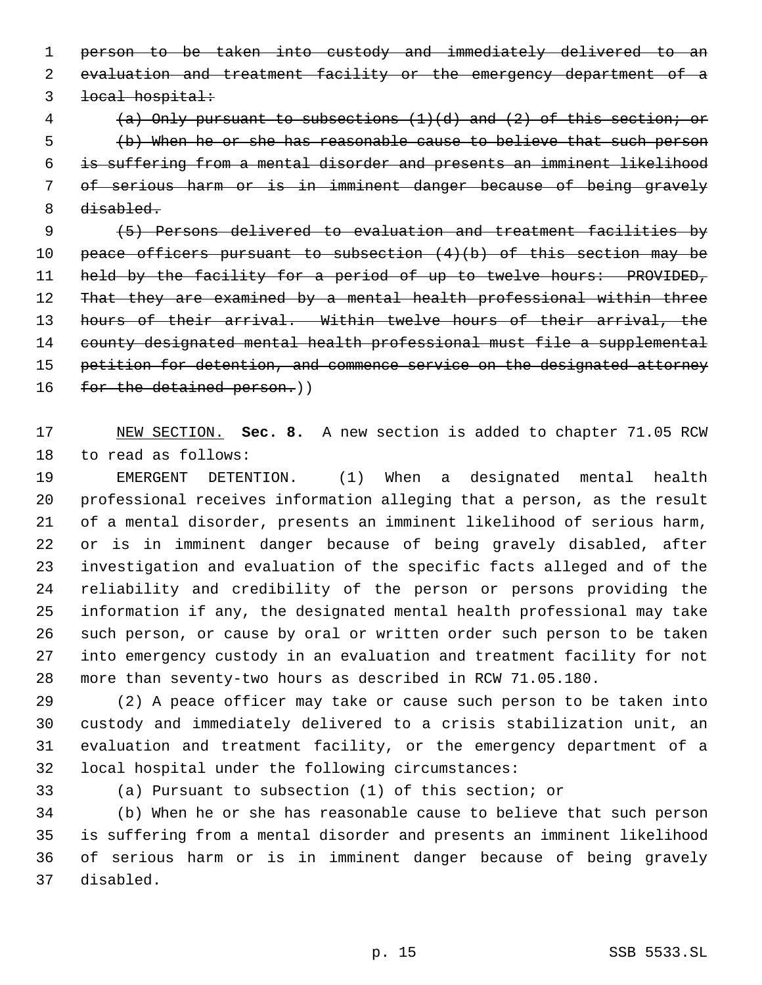person to be taken into custody and immediately delivered to an evaluation and treatment facility or the emergency department of a local hospital:

 (a) Only pursuant to subsections (1)(d) and (2) of this section; or (b) When he or she has reasonable cause to believe that such person is suffering from a mental disorder and presents an imminent likelihood of serious harm or is in imminent danger because of being gravely 8 disabled.

 (5) Persons delivered to evaluation and treatment facilities by 10 peace officers pursuant to subsection  $(4)(b)$  of this section may be 11 held by the facility for a period of up to twelve hours: PROVIDED, 12 That they are examined by a mental health professional within three 13 hours of their arrival. Within twelve hours of their arrival, the county designated mental health professional must file a supplemental 15 petition for detention, and commence service on the designated attorney 16 for the detained person.))

 NEW SECTION. **Sec. 8.** A new section is added to chapter 71.05 RCW to read as follows:

 EMERGENT DETENTION. (1) When a designated mental health professional receives information alleging that a person, as the result of a mental disorder, presents an imminent likelihood of serious harm, or is in imminent danger because of being gravely disabled, after investigation and evaluation of the specific facts alleged and of the reliability and credibility of the person or persons providing the information if any, the designated mental health professional may take such person, or cause by oral or written order such person to be taken into emergency custody in an evaluation and treatment facility for not more than seventy-two hours as described in RCW 71.05.180.

 (2) A peace officer may take or cause such person to be taken into custody and immediately delivered to a crisis stabilization unit, an evaluation and treatment facility, or the emergency department of a local hospital under the following circumstances:

(a) Pursuant to subsection (1) of this section; or

 (b) When he or she has reasonable cause to believe that such person is suffering from a mental disorder and presents an imminent likelihood of serious harm or is in imminent danger because of being gravely disabled.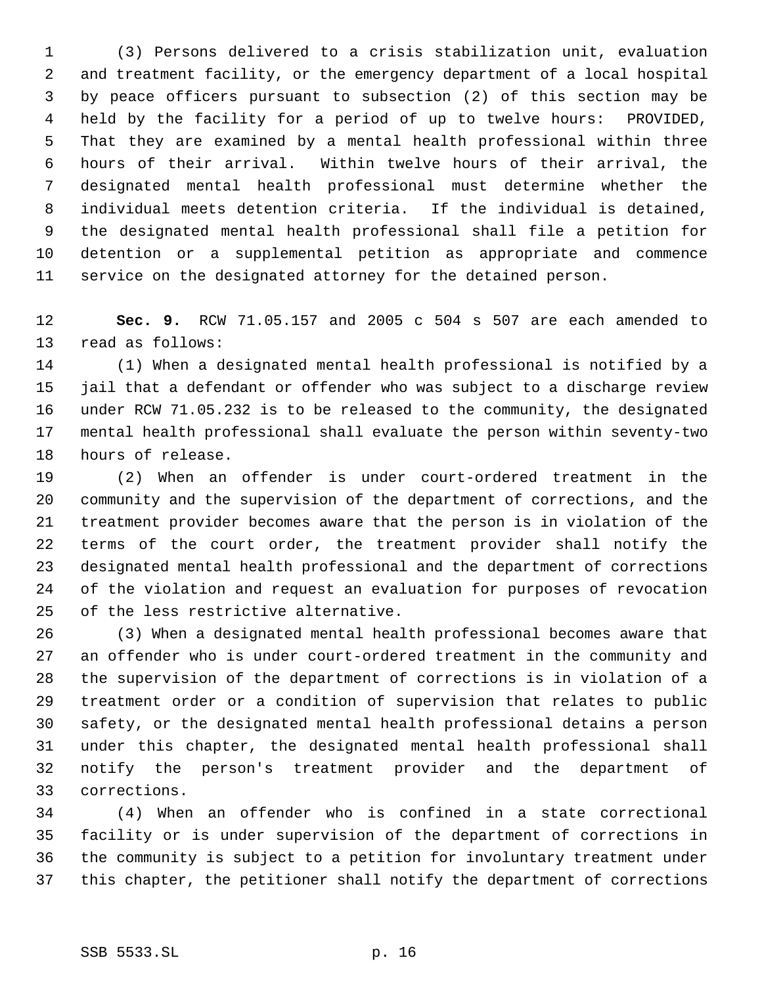(3) Persons delivered to a crisis stabilization unit, evaluation and treatment facility, or the emergency department of a local hospital by peace officers pursuant to subsection (2) of this section may be held by the facility for a period of up to twelve hours: PROVIDED, That they are examined by a mental health professional within three hours of their arrival. Within twelve hours of their arrival, the designated mental health professional must determine whether the individual meets detention criteria. If the individual is detained, the designated mental health professional shall file a petition for detention or a supplemental petition as appropriate and commence service on the designated attorney for the detained person.

 **Sec. 9.** RCW 71.05.157 and 2005 c 504 s 507 are each amended to read as follows:

 (1) When a designated mental health professional is notified by a jail that a defendant or offender who was subject to a discharge review under RCW 71.05.232 is to be released to the community, the designated mental health professional shall evaluate the person within seventy-two hours of release.

 (2) When an offender is under court-ordered treatment in the community and the supervision of the department of corrections, and the treatment provider becomes aware that the person is in violation of the terms of the court order, the treatment provider shall notify the designated mental health professional and the department of corrections of the violation and request an evaluation for purposes of revocation of the less restrictive alternative.

 (3) When a designated mental health professional becomes aware that an offender who is under court-ordered treatment in the community and the supervision of the department of corrections is in violation of a treatment order or a condition of supervision that relates to public safety, or the designated mental health professional detains a person under this chapter, the designated mental health professional shall notify the person's treatment provider and the department of corrections.

 (4) When an offender who is confined in a state correctional facility or is under supervision of the department of corrections in the community is subject to a petition for involuntary treatment under this chapter, the petitioner shall notify the department of corrections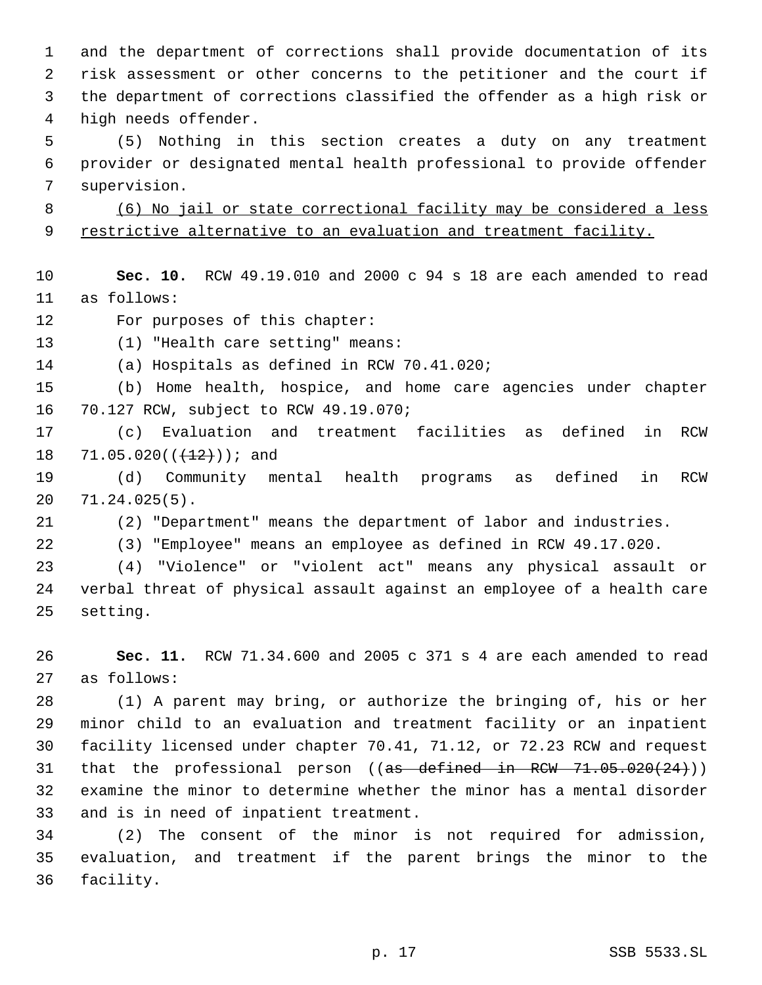and the department of corrections shall provide documentation of its risk assessment or other concerns to the petitioner and the court if the department of corrections classified the offender as a high risk or high needs offender.

 (5) Nothing in this section creates a duty on any treatment provider or designated mental health professional to provide offender supervision.

 (6) No jail or state correctional facility may be considered a less 9 restrictive alternative to an evaluation and treatment facility.

 **Sec. 10.** RCW 49.19.010 and 2000 c 94 s 18 are each amended to read as follows:

For purposes of this chapter:

(1) "Health care setting" means:

(a) Hospitals as defined in RCW 70.41.020;

 (b) Home health, hospice, and home care agencies under chapter 70.127 RCW, subject to RCW 49.19.070;

 (c) Evaluation and treatment facilities as defined in RCW 18 71.05.020( $(\frac{12}{12})$ ); and

 (d) Community mental health programs as defined in RCW 71.24.025(5).

(2) "Department" means the department of labor and industries.

(3) "Employee" means an employee as defined in RCW 49.17.020.

 (4) "Violence" or "violent act" means any physical assault or verbal threat of physical assault against an employee of a health care setting.

 **Sec. 11.** RCW 71.34.600 and 2005 c 371 s 4 are each amended to read as follows:

 (1) A parent may bring, or authorize the bringing of, his or her minor child to an evaluation and treatment facility or an inpatient facility licensed under chapter 70.41, 71.12, or 72.23 RCW and request 31 that the professional person (( $a\ddot{s}$  defined in RCW 71.05.020(24))) examine the minor to determine whether the minor has a mental disorder and is in need of inpatient treatment.

 (2) The consent of the minor is not required for admission, evaluation, and treatment if the parent brings the minor to the facility.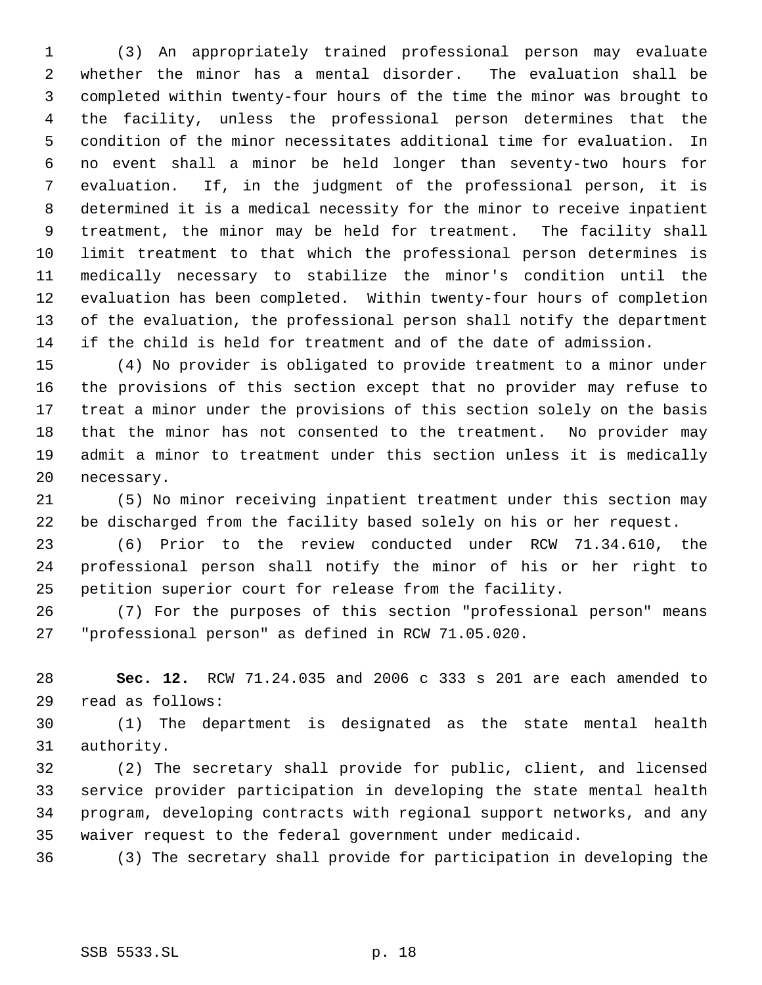(3) An appropriately trained professional person may evaluate whether the minor has a mental disorder. The evaluation shall be completed within twenty-four hours of the time the minor was brought to the facility, unless the professional person determines that the condition of the minor necessitates additional time for evaluation. In no event shall a minor be held longer than seventy-two hours for evaluation. If, in the judgment of the professional person, it is determined it is a medical necessity for the minor to receive inpatient treatment, the minor may be held for treatment. The facility shall limit treatment to that which the professional person determines is medically necessary to stabilize the minor's condition until the evaluation has been completed. Within twenty-four hours of completion of the evaluation, the professional person shall notify the department if the child is held for treatment and of the date of admission.

 (4) No provider is obligated to provide treatment to a minor under the provisions of this section except that no provider may refuse to treat a minor under the provisions of this section solely on the basis that the minor has not consented to the treatment. No provider may admit a minor to treatment under this section unless it is medically necessary.

 (5) No minor receiving inpatient treatment under this section may be discharged from the facility based solely on his or her request.

 (6) Prior to the review conducted under RCW 71.34.610, the professional person shall notify the minor of his or her right to petition superior court for release from the facility.

 (7) For the purposes of this section "professional person" means "professional person" as defined in RCW 71.05.020.

 **Sec. 12.** RCW 71.24.035 and 2006 c 333 s 201 are each amended to read as follows:

 (1) The department is designated as the state mental health authority.

 (2) The secretary shall provide for public, client, and licensed service provider participation in developing the state mental health program, developing contracts with regional support networks, and any waiver request to the federal government under medicaid.

(3) The secretary shall provide for participation in developing the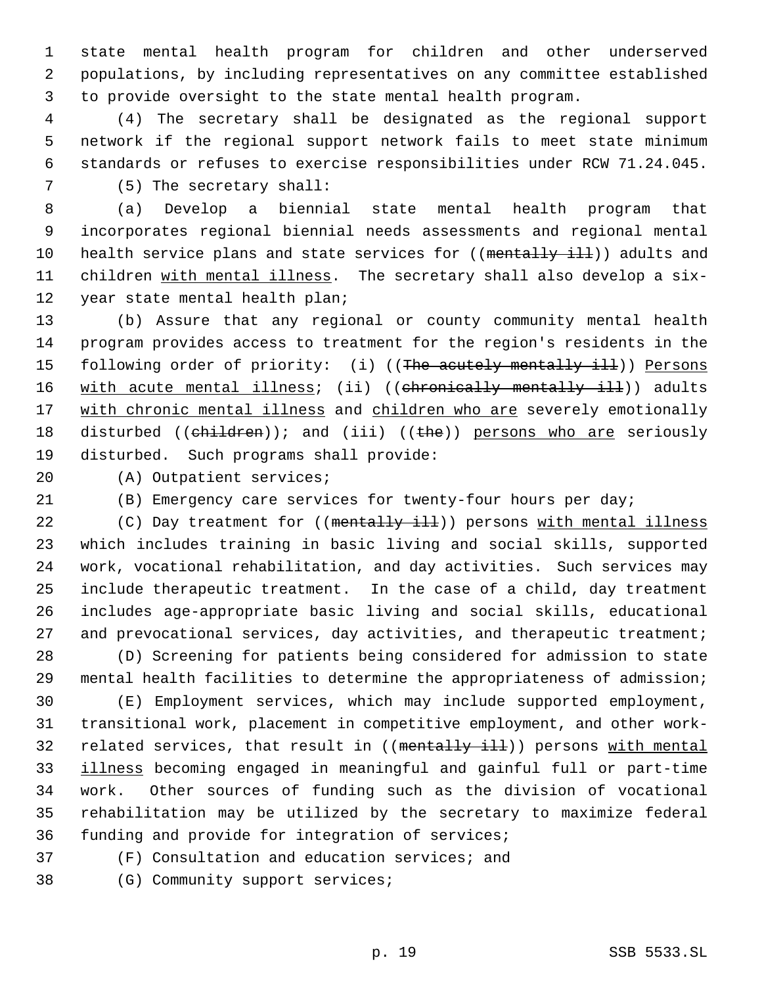state mental health program for children and other underserved populations, by including representatives on any committee established to provide oversight to the state mental health program.

 (4) The secretary shall be designated as the regional support network if the regional support network fails to meet state minimum standards or refuses to exercise responsibilities under RCW 71.24.045. (5) The secretary shall:

 (a) Develop a biennial state mental health program that incorporates regional biennial needs assessments and regional mental 10 health service plans and state services for ((mentally ill)) adults and 11 children with mental illness. The secretary shall also develop a six-year state mental health plan;

 (b) Assure that any regional or county community mental health program provides access to treatment for the region's residents in the 15 following order of priority: (i) ((The acutely mentally ill)) Persons 16 with acute mental illness; (ii) ((chronically mentally ill)) adults 17 with chronic mental illness and children who are severely emotionally 18 disturbed ((children)); and (iii) ((the)) persons who are seriously disturbed. Such programs shall provide:

(A) Outpatient services;

(B) Emergency care services for twenty-four hours per day;

22 (C) Day treatment for ((mentally ill)) persons with mental illness which includes training in basic living and social skills, supported work, vocational rehabilitation, and day activities. Such services may include therapeutic treatment. In the case of a child, day treatment includes age-appropriate basic living and social skills, educational 27 and prevocational services, day activities, and therapeutic treatment;

 (D) Screening for patients being considered for admission to state mental health facilities to determine the appropriateness of admission;

 (E) Employment services, which may include supported employment, transitional work, placement in competitive employment, and other work-32 related services, that result in ((mentally ill)) persons with mental illness becoming engaged in meaningful and gainful full or part-time work. Other sources of funding such as the division of vocational rehabilitation may be utilized by the secretary to maximize federal funding and provide for integration of services;

(F) Consultation and education services; and

(G) Community support services;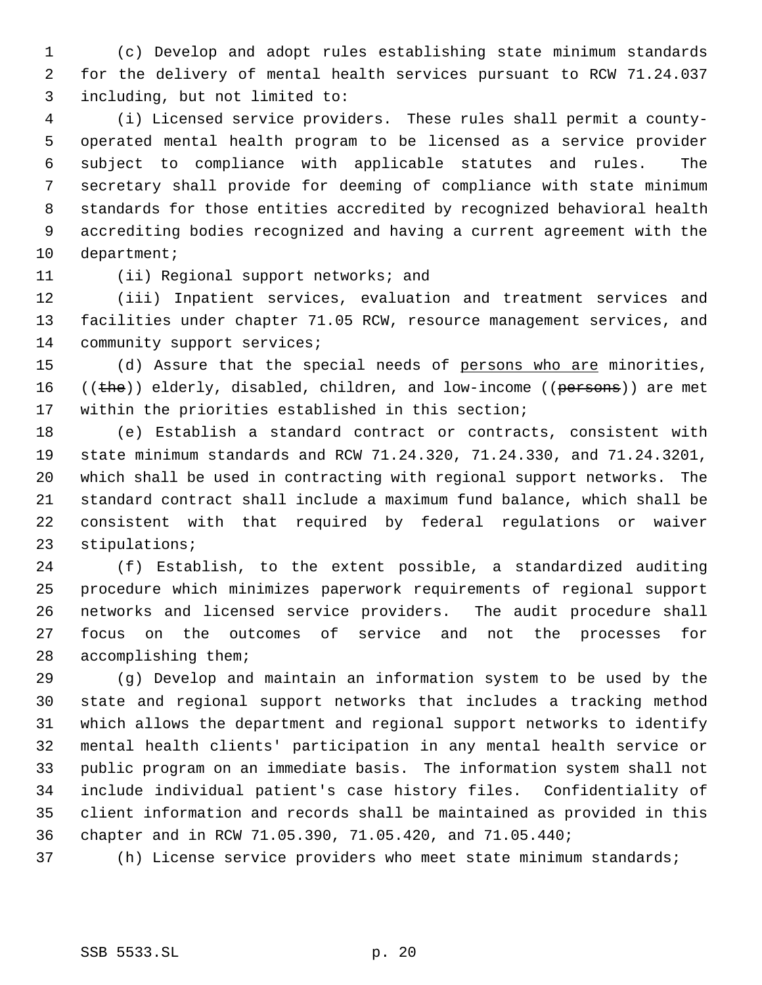(c) Develop and adopt rules establishing state minimum standards for the delivery of mental health services pursuant to RCW 71.24.037 including, but not limited to:

 (i) Licensed service providers. These rules shall permit a county- operated mental health program to be licensed as a service provider subject to compliance with applicable statutes and rules. The secretary shall provide for deeming of compliance with state minimum standards for those entities accredited by recognized behavioral health accrediting bodies recognized and having a current agreement with the department;

(ii) Regional support networks; and

 (iii) Inpatient services, evaluation and treatment services and facilities under chapter 71.05 RCW, resource management services, and 14 community support services;

15 (d) Assure that the special needs of persons who are minorities, 16 ((the)) elderly, disabled, children, and low-income ((persons)) are met within the priorities established in this section;

 (e) Establish a standard contract or contracts, consistent with state minimum standards and RCW 71.24.320, 71.24.330, and 71.24.3201, which shall be used in contracting with regional support networks. The standard contract shall include a maximum fund balance, which shall be consistent with that required by federal regulations or waiver stipulations;

 (f) Establish, to the extent possible, a standardized auditing procedure which minimizes paperwork requirements of regional support networks and licensed service providers. The audit procedure shall focus on the outcomes of service and not the processes for accomplishing them;

 (g) Develop and maintain an information system to be used by the state and regional support networks that includes a tracking method which allows the department and regional support networks to identify mental health clients' participation in any mental health service or public program on an immediate basis. The information system shall not include individual patient's case history files. Confidentiality of client information and records shall be maintained as provided in this chapter and in RCW 71.05.390, 71.05.420, and 71.05.440;

(h) License service providers who meet state minimum standards;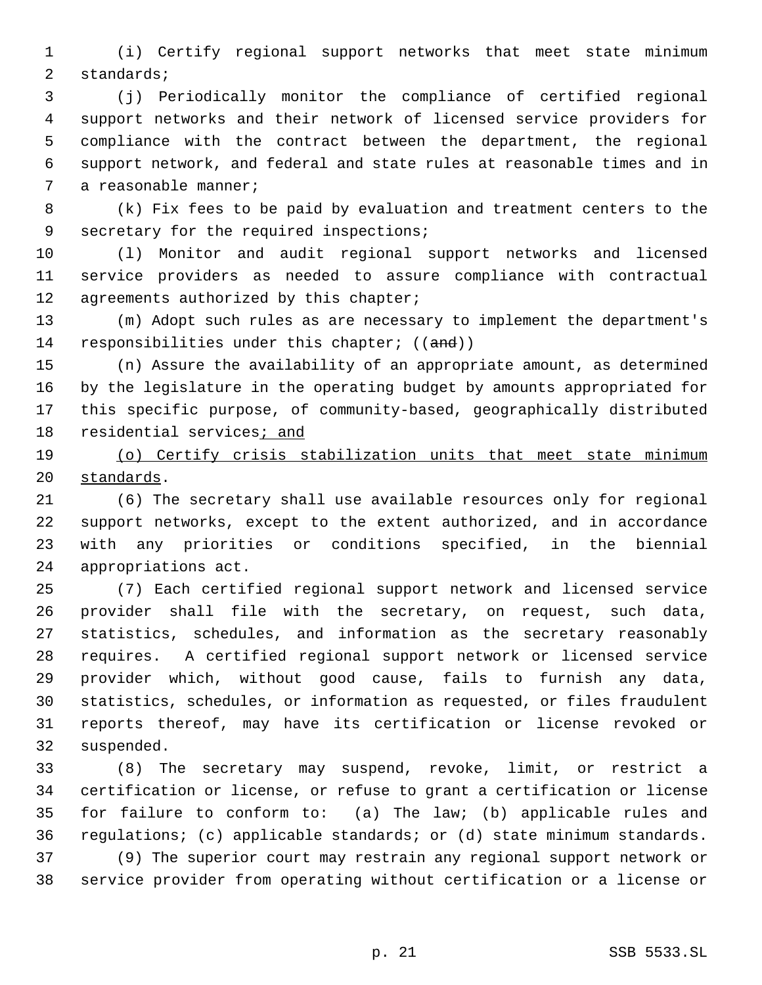(i) Certify regional support networks that meet state minimum standards;

 (j) Periodically monitor the compliance of certified regional support networks and their network of licensed service providers for compliance with the contract between the department, the regional support network, and federal and state rules at reasonable times and in a reasonable manner;

 (k) Fix fees to be paid by evaluation and treatment centers to the secretary for the required inspections;

 (l) Monitor and audit regional support networks and licensed service providers as needed to assure compliance with contractual 12 agreements authorized by this chapter;

 (m) Adopt such rules as are necessary to implement the department's 14 responsibilities under this chapter; ((and))

 (n) Assure the availability of an appropriate amount, as determined by the legislature in the operating budget by amounts appropriated for this specific purpose, of community-based, geographically distributed residential services; and

 (o) Certify crisis stabilization units that meet state minimum 20 standards.

 (6) The secretary shall use available resources only for regional support networks, except to the extent authorized, and in accordance with any priorities or conditions specified, in the biennial appropriations act.

 (7) Each certified regional support network and licensed service provider shall file with the secretary, on request, such data, statistics, schedules, and information as the secretary reasonably requires. A certified regional support network or licensed service provider which, without good cause, fails to furnish any data, statistics, schedules, or information as requested, or files fraudulent reports thereof, may have its certification or license revoked or suspended.

 (8) The secretary may suspend, revoke, limit, or restrict a certification or license, or refuse to grant a certification or license for failure to conform to: (a) The law; (b) applicable rules and regulations; (c) applicable standards; or (d) state minimum standards. (9) The superior court may restrain any regional support network or service provider from operating without certification or a license or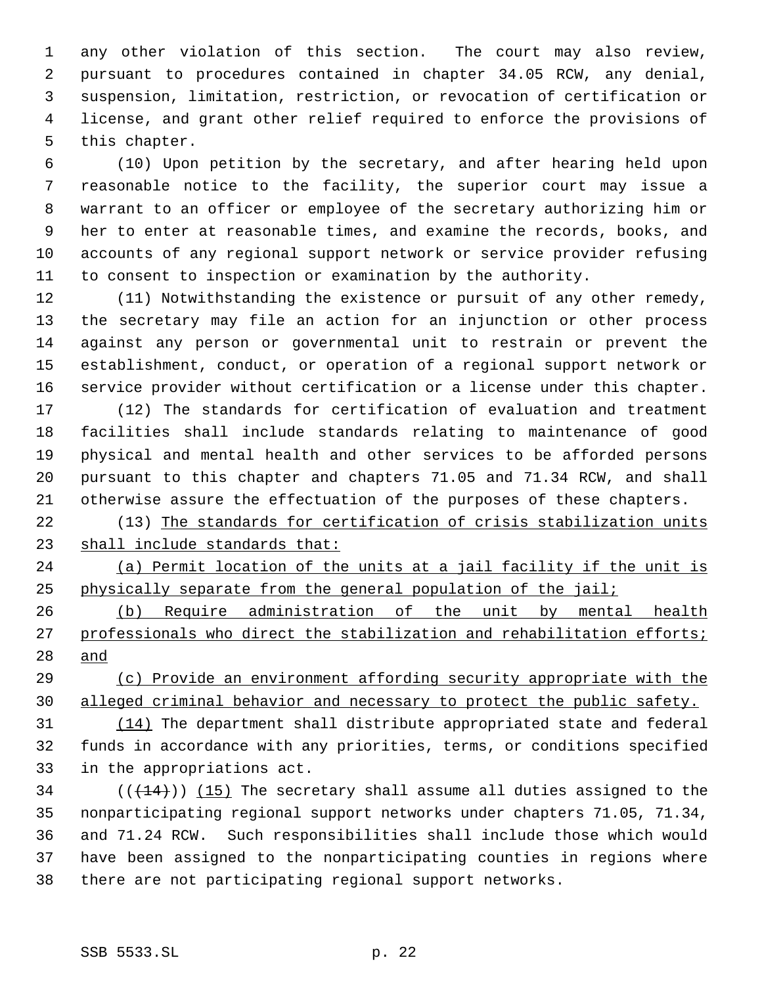any other violation of this section. The court may also review, pursuant to procedures contained in chapter 34.05 RCW, any denial, suspension, limitation, restriction, or revocation of certification or license, and grant other relief required to enforce the provisions of this chapter.

 (10) Upon petition by the secretary, and after hearing held upon reasonable notice to the facility, the superior court may issue a warrant to an officer or employee of the secretary authorizing him or her to enter at reasonable times, and examine the records, books, and accounts of any regional support network or service provider refusing to consent to inspection or examination by the authority.

 (11) Notwithstanding the existence or pursuit of any other remedy, the secretary may file an action for an injunction or other process against any person or governmental unit to restrain or prevent the establishment, conduct, or operation of a regional support network or service provider without certification or a license under this chapter.

 (12) The standards for certification of evaluation and treatment facilities shall include standards relating to maintenance of good physical and mental health and other services to be afforded persons pursuant to this chapter and chapters 71.05 and 71.34 RCW, and shall otherwise assure the effectuation of the purposes of these chapters.

 (13) The standards for certification of crisis stabilization units shall include standards that:

 (a) Permit location of the units at a jail facility if the unit is physically separate from the general population of the jail;

 (b) Require administration of the unit by mental health professionals who direct the stabilization and rehabilitation efforts; and

 (c) Provide an environment affording security appropriate with the alleged criminal behavior and necessary to protect the public safety.

 (14) The department shall distribute appropriated state and federal funds in accordance with any priorities, terms, or conditions specified in the appropriations act.

 $((+14))$  (15) The secretary shall assume all duties assigned to the nonparticipating regional support networks under chapters 71.05, 71.34, and 71.24 RCW. Such responsibilities shall include those which would have been assigned to the nonparticipating counties in regions where there are not participating regional support networks.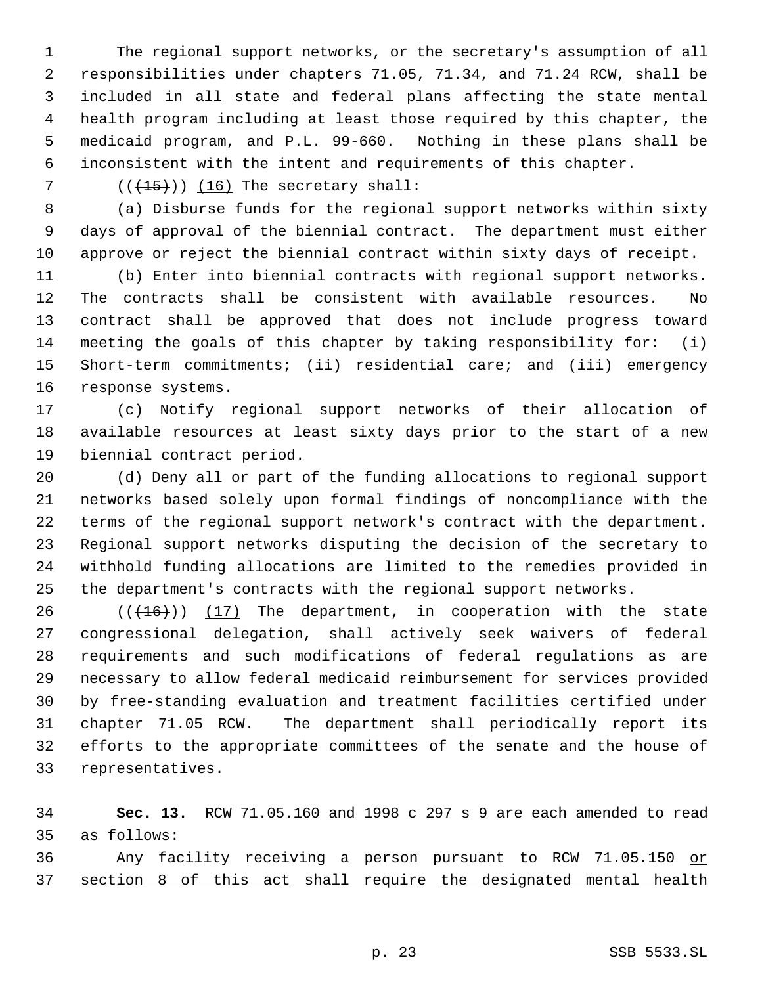The regional support networks, or the secretary's assumption of all responsibilities under chapters 71.05, 71.34, and 71.24 RCW, shall be included in all state and federal plans affecting the state mental health program including at least those required by this chapter, the medicaid program, and P.L. 99-660. Nothing in these plans shall be inconsistent with the intent and requirements of this chapter.

7  $((+15))$  (16) The secretary shall:

 (a) Disburse funds for the regional support networks within sixty days of approval of the biennial contract. The department must either approve or reject the biennial contract within sixty days of receipt.

 (b) Enter into biennial contracts with regional support networks. The contracts shall be consistent with available resources. No contract shall be approved that does not include progress toward meeting the goals of this chapter by taking responsibility for: (i) Short-term commitments; (ii) residential care; and (iii) emergency response systems.

 (c) Notify regional support networks of their allocation of available resources at least sixty days prior to the start of a new biennial contract period.

 (d) Deny all or part of the funding allocations to regional support networks based solely upon formal findings of noncompliance with the terms of the regional support network's contract with the department. Regional support networks disputing the decision of the secretary to withhold funding allocations are limited to the remedies provided in the department's contracts with the regional support networks.

 $((+16))$   $(17)$  The department, in cooperation with the state congressional delegation, shall actively seek waivers of federal requirements and such modifications of federal regulations as are necessary to allow federal medicaid reimbursement for services provided by free-standing evaluation and treatment facilities certified under chapter 71.05 RCW. The department shall periodically report its efforts to the appropriate committees of the senate and the house of representatives.

 **Sec. 13.** RCW 71.05.160 and 1998 c 297 s 9 are each amended to read as follows:

 Any facility receiving a person pursuant to RCW 71.05.150 or section 8 of this act shall require the designated mental health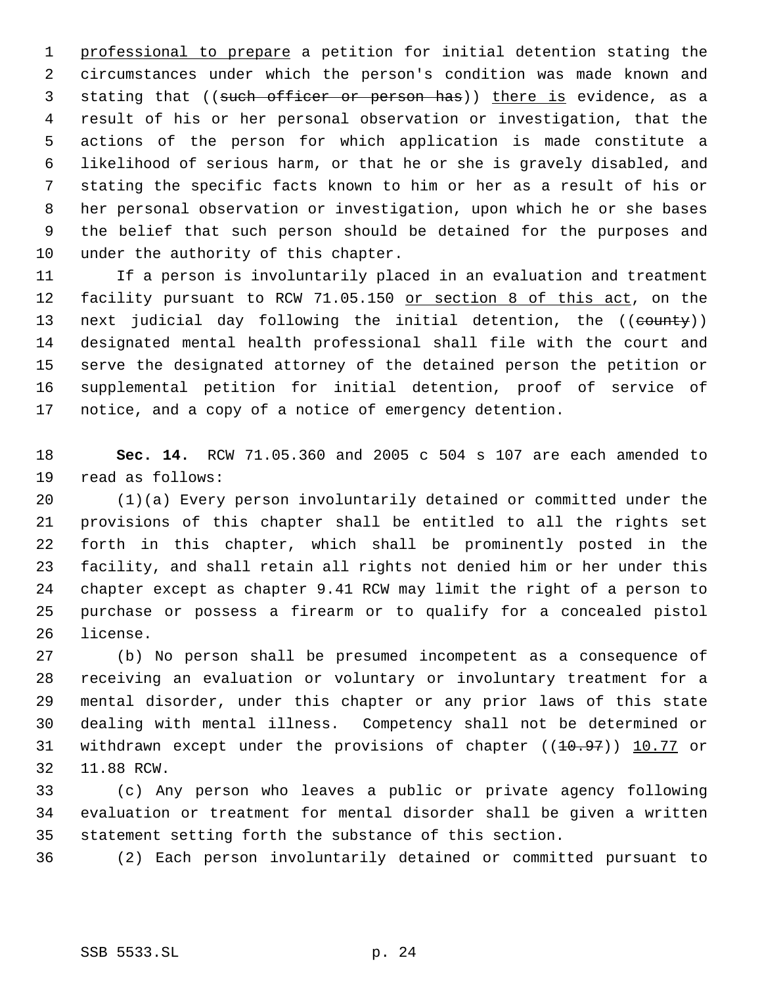professional to prepare a petition for initial detention stating the circumstances under which the person's condition was made known and 3 stating that ((such officer or person has)) there is evidence, as a result of his or her personal observation or investigation, that the actions of the person for which application is made constitute a likelihood of serious harm, or that he or she is gravely disabled, and stating the specific facts known to him or her as a result of his or her personal observation or investigation, upon which he or she bases the belief that such person should be detained for the purposes and under the authority of this chapter.

 If a person is involuntarily placed in an evaluation and treatment 12 facility pursuant to RCW 71.05.150 or section 8 of this act, on the 13 next judicial day following the initial detention, the ((county)) designated mental health professional shall file with the court and serve the designated attorney of the detained person the petition or supplemental petition for initial detention, proof of service of notice, and a copy of a notice of emergency detention.

 **Sec. 14.** RCW 71.05.360 and 2005 c 504 s 107 are each amended to read as follows:

 (1)(a) Every person involuntarily detained or committed under the provisions of this chapter shall be entitled to all the rights set forth in this chapter, which shall be prominently posted in the facility, and shall retain all rights not denied him or her under this chapter except as chapter 9.41 RCW may limit the right of a person to purchase or possess a firearm or to qualify for a concealed pistol license.

 (b) No person shall be presumed incompetent as a consequence of receiving an evaluation or voluntary or involuntary treatment for a mental disorder, under this chapter or any prior laws of this state dealing with mental illness. Competency shall not be determined or 31 withdrawn except under the provisions of chapter ((10.97)) 10.77 or 11.88 RCW.

 (c) Any person who leaves a public or private agency following evaluation or treatment for mental disorder shall be given a written statement setting forth the substance of this section.

(2) Each person involuntarily detained or committed pursuant to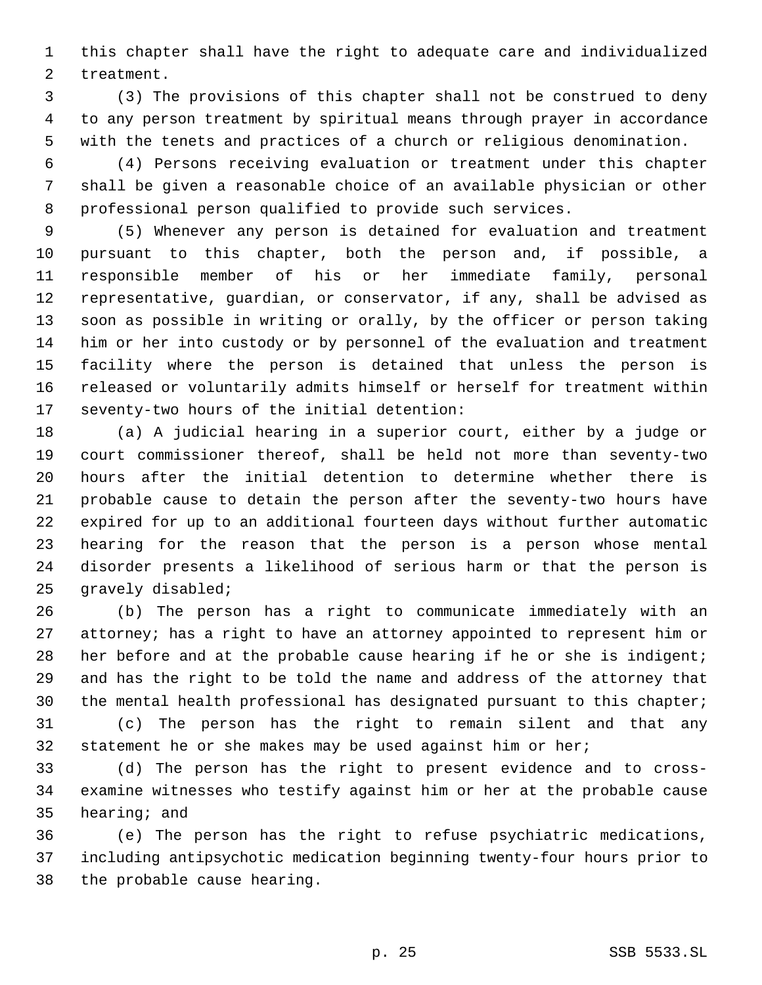this chapter shall have the right to adequate care and individualized treatment.

 (3) The provisions of this chapter shall not be construed to deny to any person treatment by spiritual means through prayer in accordance with the tenets and practices of a church or religious denomination.

 (4) Persons receiving evaluation or treatment under this chapter shall be given a reasonable choice of an available physician or other professional person qualified to provide such services.

 (5) Whenever any person is detained for evaluation and treatment pursuant to this chapter, both the person and, if possible, a responsible member of his or her immediate family, personal representative, guardian, or conservator, if any, shall be advised as soon as possible in writing or orally, by the officer or person taking him or her into custody or by personnel of the evaluation and treatment facility where the person is detained that unless the person is released or voluntarily admits himself or herself for treatment within seventy-two hours of the initial detention:

 (a) A judicial hearing in a superior court, either by a judge or court commissioner thereof, shall be held not more than seventy-two hours after the initial detention to determine whether there is probable cause to detain the person after the seventy-two hours have expired for up to an additional fourteen days without further automatic hearing for the reason that the person is a person whose mental disorder presents a likelihood of serious harm or that the person is gravely disabled;

 (b) The person has a right to communicate immediately with an 27 attorney; has a right to have an attorney appointed to represent him or 28 her before and at the probable cause hearing if he or she is indigent; and has the right to be told the name and address of the attorney that the mental health professional has designated pursuant to this chapter;

 (c) The person has the right to remain silent and that any statement he or she makes may be used against him or her;

 (d) The person has the right to present evidence and to cross- examine witnesses who testify against him or her at the probable cause hearing; and

 (e) The person has the right to refuse psychiatric medications, including antipsychotic medication beginning twenty-four hours prior to the probable cause hearing.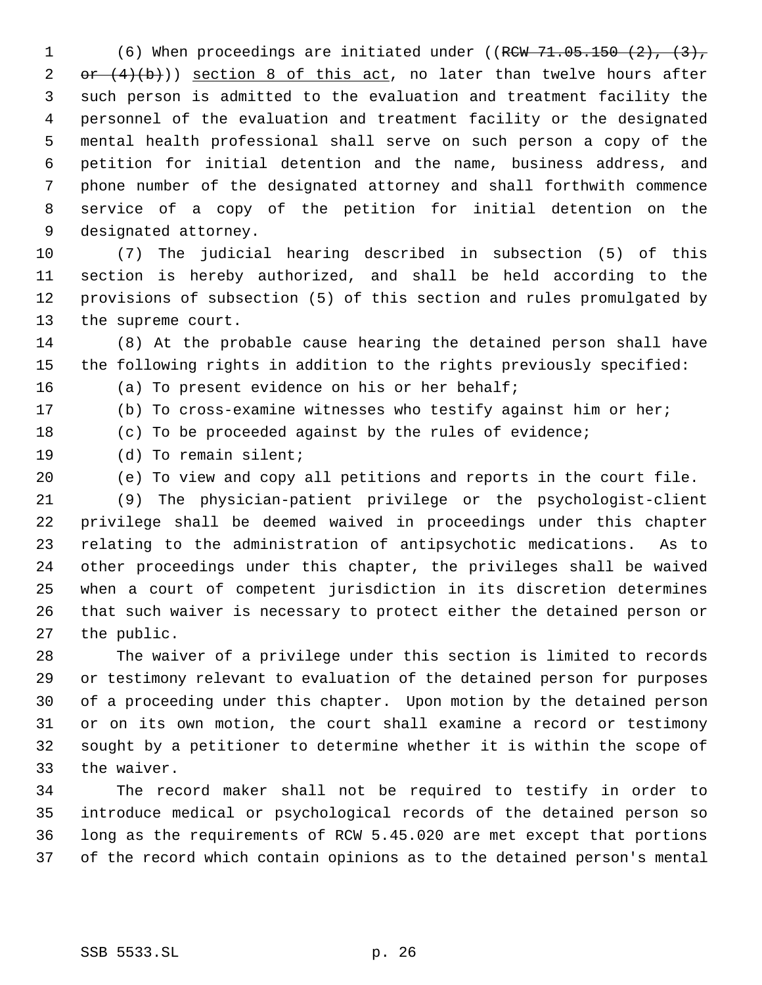1 (6) When proceedings are initiated under ((RCW 71.05.150 (2), (3),  $or (4)(b)$ ) section 8 of this act, no later than twelve hours after such person is admitted to the evaluation and treatment facility the personnel of the evaluation and treatment facility or the designated mental health professional shall serve on such person a copy of the petition for initial detention and the name, business address, and phone number of the designated attorney and shall forthwith commence service of a copy of the petition for initial detention on the designated attorney.

 (7) The judicial hearing described in subsection (5) of this section is hereby authorized, and shall be held according to the provisions of subsection (5) of this section and rules promulgated by the supreme court.

 (8) At the probable cause hearing the detained person shall have the following rights in addition to the rights previously specified:

(a) To present evidence on his or her behalf;

 (b) To cross-examine witnesses who testify against him or her; (c) To be proceeded against by the rules of evidence;

(d) To remain silent;

(e) To view and copy all petitions and reports in the court file.

 (9) The physician-patient privilege or the psychologist-client privilege shall be deemed waived in proceedings under this chapter relating to the administration of antipsychotic medications. As to other proceedings under this chapter, the privileges shall be waived when a court of competent jurisdiction in its discretion determines that such waiver is necessary to protect either the detained person or the public.

 The waiver of a privilege under this section is limited to records or testimony relevant to evaluation of the detained person for purposes of a proceeding under this chapter. Upon motion by the detained person or on its own motion, the court shall examine a record or testimony sought by a petitioner to determine whether it is within the scope of the waiver.

 The record maker shall not be required to testify in order to introduce medical or psychological records of the detained person so long as the requirements of RCW 5.45.020 are met except that portions of the record which contain opinions as to the detained person's mental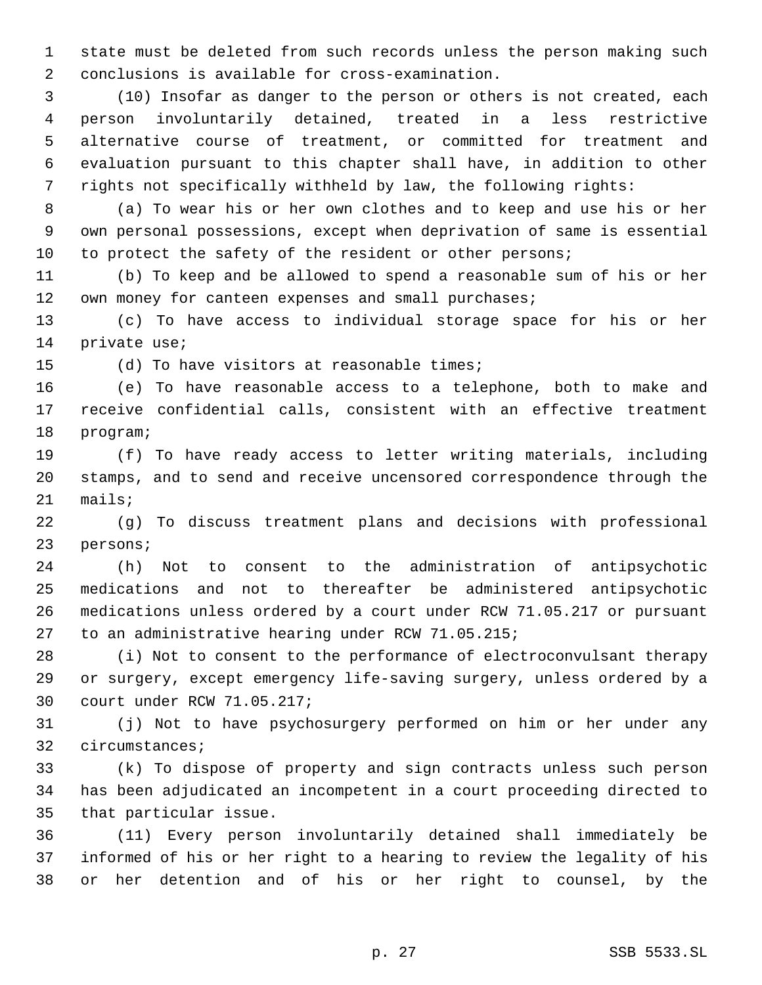state must be deleted from such records unless the person making such conclusions is available for cross-examination.

 (10) Insofar as danger to the person or others is not created, each person involuntarily detained, treated in a less restrictive alternative course of treatment, or committed for treatment and evaluation pursuant to this chapter shall have, in addition to other rights not specifically withheld by law, the following rights:

 (a) To wear his or her own clothes and to keep and use his or her own personal possessions, except when deprivation of same is essential 10 to protect the safety of the resident or other persons;

 (b) To keep and be allowed to spend a reasonable sum of his or her 12 own money for canteen expenses and small purchases;

 (c) To have access to individual storage space for his or her private use;

(d) To have visitors at reasonable times;

 (e) To have reasonable access to a telephone, both to make and receive confidential calls, consistent with an effective treatment program;

 (f) To have ready access to letter writing materials, including stamps, and to send and receive uncensored correspondence through the mails;

 (g) To discuss treatment plans and decisions with professional persons;

 (h) Not to consent to the administration of antipsychotic medications and not to thereafter be administered antipsychotic medications unless ordered by a court under RCW 71.05.217 or pursuant to an administrative hearing under RCW 71.05.215;

 (i) Not to consent to the performance of electroconvulsant therapy or surgery, except emergency life-saving surgery, unless ordered by a court under RCW 71.05.217;

 (j) Not to have psychosurgery performed on him or her under any circumstances;

 (k) To dispose of property and sign contracts unless such person has been adjudicated an incompetent in a court proceeding directed to that particular issue.

 (11) Every person involuntarily detained shall immediately be informed of his or her right to a hearing to review the legality of his or her detention and of his or her right to counsel, by the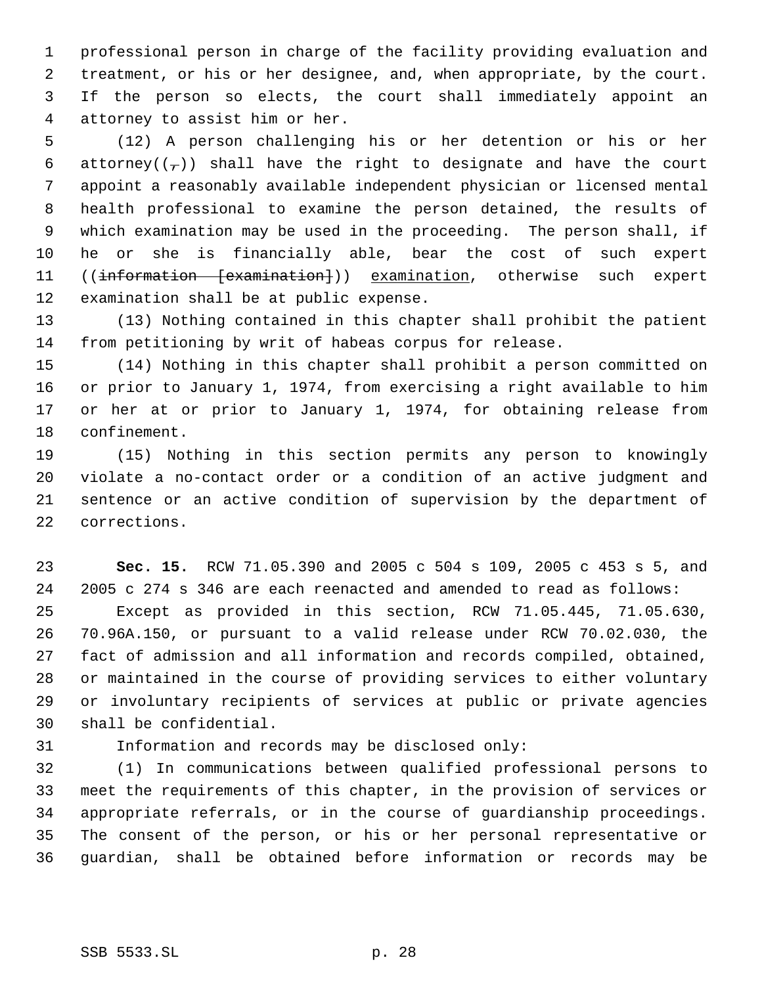professional person in charge of the facility providing evaluation and treatment, or his or her designee, and, when appropriate, by the court. If the person so elects, the court shall immediately appoint an attorney to assist him or her.

 (12) A person challenging his or her detention or his or her 6 attorney( $(\tau)$ ) shall have the right to designate and have the court appoint a reasonably available independent physician or licensed mental health professional to examine the person detained, the results of which examination may be used in the proceeding. The person shall, if he or she is financially able, bear the cost of such expert 11 ((information [examination])) examination, otherwise such expert examination shall be at public expense.

 (13) Nothing contained in this chapter shall prohibit the patient from petitioning by writ of habeas corpus for release.

 (14) Nothing in this chapter shall prohibit a person committed on or prior to January 1, 1974, from exercising a right available to him or her at or prior to January 1, 1974, for obtaining release from confinement.

 (15) Nothing in this section permits any person to knowingly violate a no-contact order or a condition of an active judgment and sentence or an active condition of supervision by the department of corrections.

 **Sec. 15.** RCW 71.05.390 and 2005 c 504 s 109, 2005 c 453 s 5, and 2005 c 274 s 346 are each reenacted and amended to read as follows: Except as provided in this section, RCW 71.05.445, 71.05.630, 70.96A.150, or pursuant to a valid release under RCW 70.02.030, the fact of admission and all information and records compiled, obtained, or maintained in the course of providing services to either voluntary or involuntary recipients of services at public or private agencies shall be confidential.

Information and records may be disclosed only:

 (1) In communications between qualified professional persons to meet the requirements of this chapter, in the provision of services or appropriate referrals, or in the course of guardianship proceedings. The consent of the person, or his or her personal representative or guardian, shall be obtained before information or records may be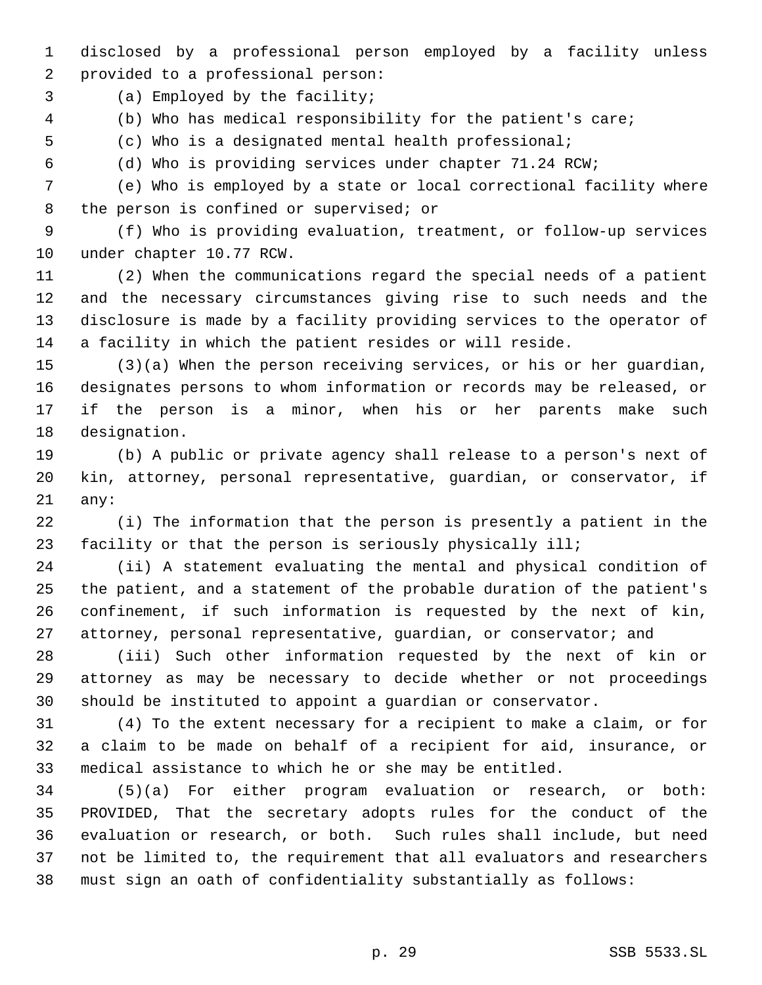disclosed by a professional person employed by a facility unless provided to a professional person:

(a) Employed by the facility;

(b) Who has medical responsibility for the patient's care;

(c) Who is a designated mental health professional;

(d) Who is providing services under chapter 71.24 RCW;

 (e) Who is employed by a state or local correctional facility where the person is confined or supervised; or

 (f) Who is providing evaluation, treatment, or follow-up services under chapter 10.77 RCW.

 (2) When the communications regard the special needs of a patient and the necessary circumstances giving rise to such needs and the disclosure is made by a facility providing services to the operator of a facility in which the patient resides or will reside.

 (3)(a) When the person receiving services, or his or her guardian, designates persons to whom information or records may be released, or if the person is a minor, when his or her parents make such designation.

 (b) A public or private agency shall release to a person's next of kin, attorney, personal representative, guardian, or conservator, if any:

 (i) The information that the person is presently a patient in the facility or that the person is seriously physically ill;

 (ii) A statement evaluating the mental and physical condition of the patient, and a statement of the probable duration of the patient's confinement, if such information is requested by the next of kin, attorney, personal representative, guardian, or conservator; and

 (iii) Such other information requested by the next of kin or attorney as may be necessary to decide whether or not proceedings should be instituted to appoint a guardian or conservator.

 (4) To the extent necessary for a recipient to make a claim, or for a claim to be made on behalf of a recipient for aid, insurance, or medical assistance to which he or she may be entitled.

 (5)(a) For either program evaluation or research, or both: PROVIDED, That the secretary adopts rules for the conduct of the evaluation or research, or both. Such rules shall include, but need not be limited to, the requirement that all evaluators and researchers must sign an oath of confidentiality substantially as follows: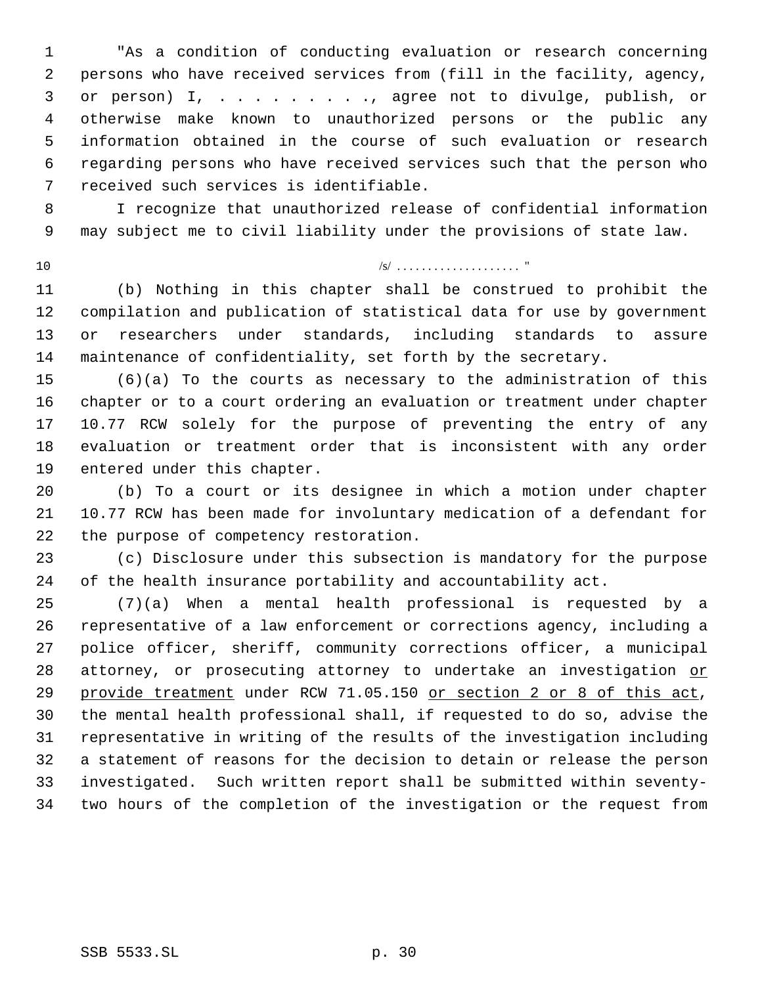"As a condition of conducting evaluation or research concerning persons who have received services from (fill in the facility, agency, or person) I, . . . . . . . . ., agree not to divulge, publish, or otherwise make known to unauthorized persons or the public any information obtained in the course of such evaluation or research regarding persons who have received services such that the person who received such services is identifiable.

 I recognize that unauthorized release of confidential information may subject me to civil liability under the provisions of state law.

# $\frac{10}{10}$

 (b) Nothing in this chapter shall be construed to prohibit the compilation and publication of statistical data for use by government or researchers under standards, including standards to assure maintenance of confidentiality, set forth by the secretary.

 (6)(a) To the courts as necessary to the administration of this chapter or to a court ordering an evaluation or treatment under chapter 10.77 RCW solely for the purpose of preventing the entry of any evaluation or treatment order that is inconsistent with any order entered under this chapter.

 (b) To a court or its designee in which a motion under chapter 10.77 RCW has been made for involuntary medication of a defendant for the purpose of competency restoration.

 (c) Disclosure under this subsection is mandatory for the purpose of the health insurance portability and accountability act.

 (7)(a) When a mental health professional is requested by a representative of a law enforcement or corrections agency, including a police officer, sheriff, community corrections officer, a municipal 28 attorney, or prosecuting attorney to undertake an investigation or provide treatment under RCW 71.05.150 or section 2 or 8 of this act, the mental health professional shall, if requested to do so, advise the representative in writing of the results of the investigation including a statement of reasons for the decision to detain or release the person investigated. Such written report shall be submitted within seventy-two hours of the completion of the investigation or the request from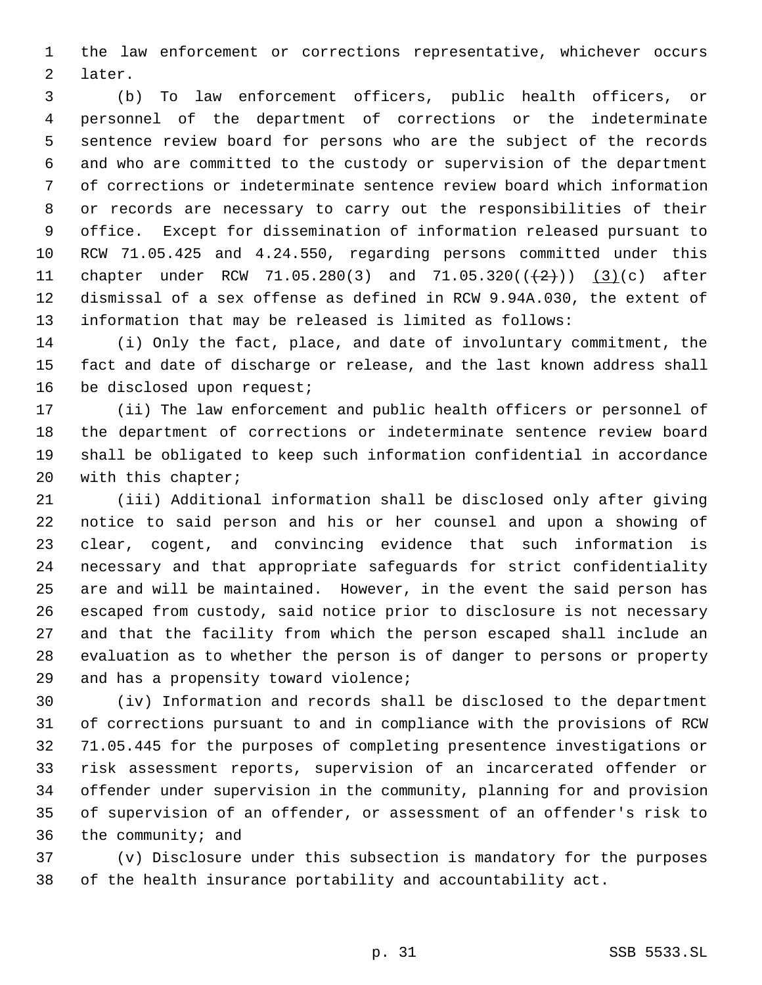the law enforcement or corrections representative, whichever occurs later.

 (b) To law enforcement officers, public health officers, or personnel of the department of corrections or the indeterminate sentence review board for persons who are the subject of the records and who are committed to the custody or supervision of the department of corrections or indeterminate sentence review board which information or records are necessary to carry out the responsibilities of their office. Except for dissemination of information released pursuant to RCW 71.05.425 and 4.24.550, regarding persons committed under this 11 chapter under RCW 71.05.280(3) and 71.05.320( $(\frac{2}{2})$ ) (3)(c) after dismissal of a sex offense as defined in RCW 9.94A.030, the extent of information that may be released is limited as follows:

 (i) Only the fact, place, and date of involuntary commitment, the fact and date of discharge or release, and the last known address shall 16 be disclosed upon request;

 (ii) The law enforcement and public health officers or personnel of the department of corrections or indeterminate sentence review board shall be obligated to keep such information confidential in accordance with this chapter;

 (iii) Additional information shall be disclosed only after giving notice to said person and his or her counsel and upon a showing of clear, cogent, and convincing evidence that such information is necessary and that appropriate safeguards for strict confidentiality are and will be maintained. However, in the event the said person has escaped from custody, said notice prior to disclosure is not necessary and that the facility from which the person escaped shall include an evaluation as to whether the person is of danger to persons or property and has a propensity toward violence;

 (iv) Information and records shall be disclosed to the department of corrections pursuant to and in compliance with the provisions of RCW 71.05.445 for the purposes of completing presentence investigations or risk assessment reports, supervision of an incarcerated offender or offender under supervision in the community, planning for and provision of supervision of an offender, or assessment of an offender's risk to the community; and

 (v) Disclosure under this subsection is mandatory for the purposes of the health insurance portability and accountability act.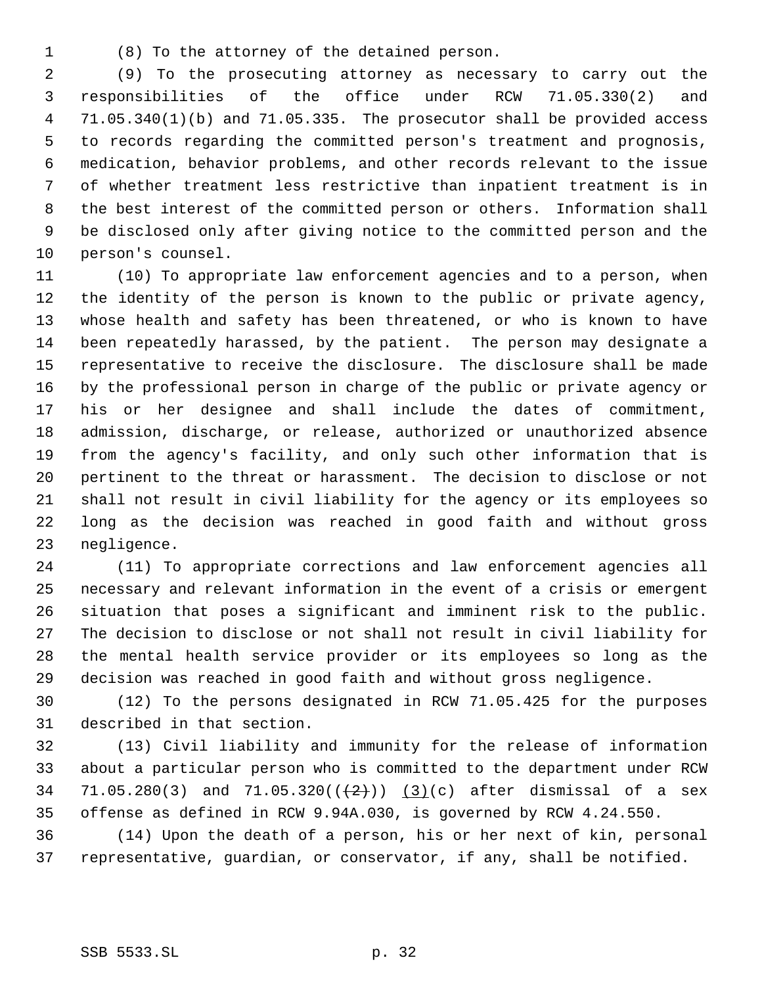(8) To the attorney of the detained person.

 (9) To the prosecuting attorney as necessary to carry out the responsibilities of the office under RCW 71.05.330(2) and 71.05.340(1)(b) and 71.05.335. The prosecutor shall be provided access to records regarding the committed person's treatment and prognosis, medication, behavior problems, and other records relevant to the issue of whether treatment less restrictive than inpatient treatment is in the best interest of the committed person or others. Information shall be disclosed only after giving notice to the committed person and the person's counsel.

 (10) To appropriate law enforcement agencies and to a person, when the identity of the person is known to the public or private agency, whose health and safety has been threatened, or who is known to have been repeatedly harassed, by the patient. The person may designate a representative to receive the disclosure. The disclosure shall be made by the professional person in charge of the public or private agency or his or her designee and shall include the dates of commitment, admission, discharge, or release, authorized or unauthorized absence from the agency's facility, and only such other information that is pertinent to the threat or harassment. The decision to disclose or not shall not result in civil liability for the agency or its employees so long as the decision was reached in good faith and without gross negligence.

 (11) To appropriate corrections and law enforcement agencies all necessary and relevant information in the event of a crisis or emergent situation that poses a significant and imminent risk to the public. The decision to disclose or not shall not result in civil liability for the mental health service provider or its employees so long as the decision was reached in good faith and without gross negligence.

 (12) To the persons designated in RCW 71.05.425 for the purposes described in that section.

 (13) Civil liability and immunity for the release of information about a particular person who is committed to the department under RCW 34 71.05.280(3) and  $71.05.320((+2))$   $(3)(c)$  after dismissal of a sex offense as defined in RCW 9.94A.030, is governed by RCW 4.24.550.

 (14) Upon the death of a person, his or her next of kin, personal representative, guardian, or conservator, if any, shall be notified.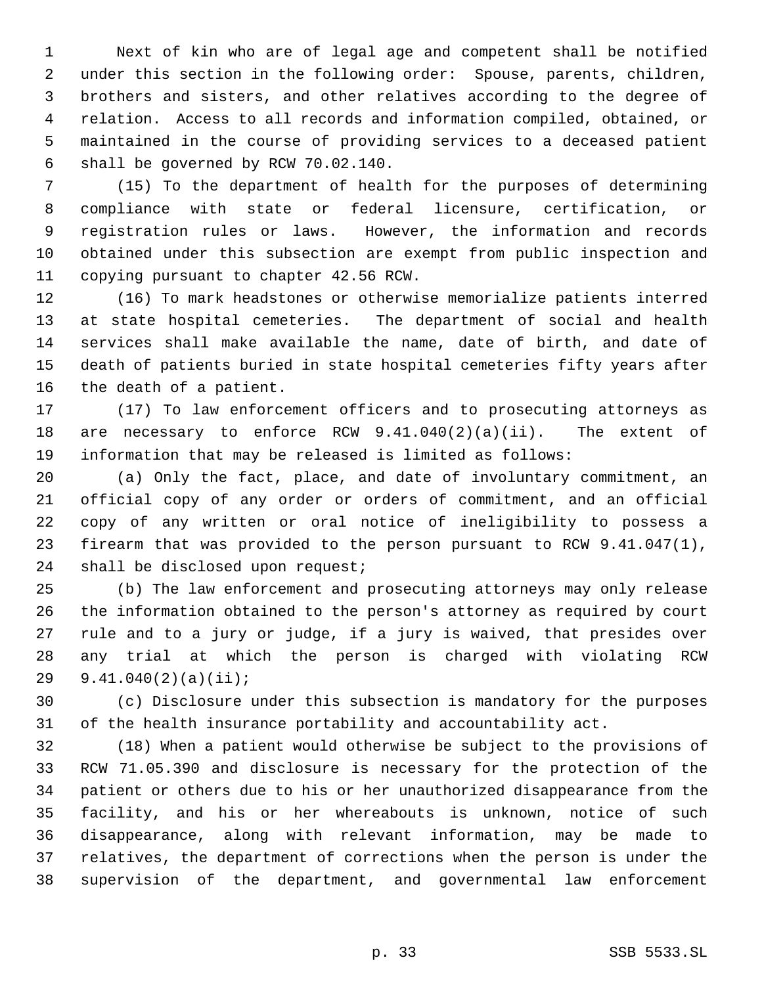Next of kin who are of legal age and competent shall be notified under this section in the following order: Spouse, parents, children, brothers and sisters, and other relatives according to the degree of relation. Access to all records and information compiled, obtained, or maintained in the course of providing services to a deceased patient shall be governed by RCW 70.02.140.

 (15) To the department of health for the purposes of determining compliance with state or federal licensure, certification, or registration rules or laws. However, the information and records obtained under this subsection are exempt from public inspection and copying pursuant to chapter 42.56 RCW.

 (16) To mark headstones or otherwise memorialize patients interred at state hospital cemeteries. The department of social and health services shall make available the name, date of birth, and date of death of patients buried in state hospital cemeteries fifty years after the death of a patient.

 (17) To law enforcement officers and to prosecuting attorneys as are necessary to enforce RCW 9.41.040(2)(a)(ii). The extent of information that may be released is limited as follows:

 (a) Only the fact, place, and date of involuntary commitment, an official copy of any order or orders of commitment, and an official copy of any written or oral notice of ineligibility to possess a firearm that was provided to the person pursuant to RCW 9.41.047(1), 24 shall be disclosed upon request;

 (b) The law enforcement and prosecuting attorneys may only release the information obtained to the person's attorney as required by court rule and to a jury or judge, if a jury is waived, that presides over any trial at which the person is charged with violating RCW 9.41.040(2)(a)(ii);

 (c) Disclosure under this subsection is mandatory for the purposes of the health insurance portability and accountability act.

 (18) When a patient would otherwise be subject to the provisions of RCW 71.05.390 and disclosure is necessary for the protection of the patient or others due to his or her unauthorized disappearance from the facility, and his or her whereabouts is unknown, notice of such disappearance, along with relevant information, may be made to relatives, the department of corrections when the person is under the supervision of the department, and governmental law enforcement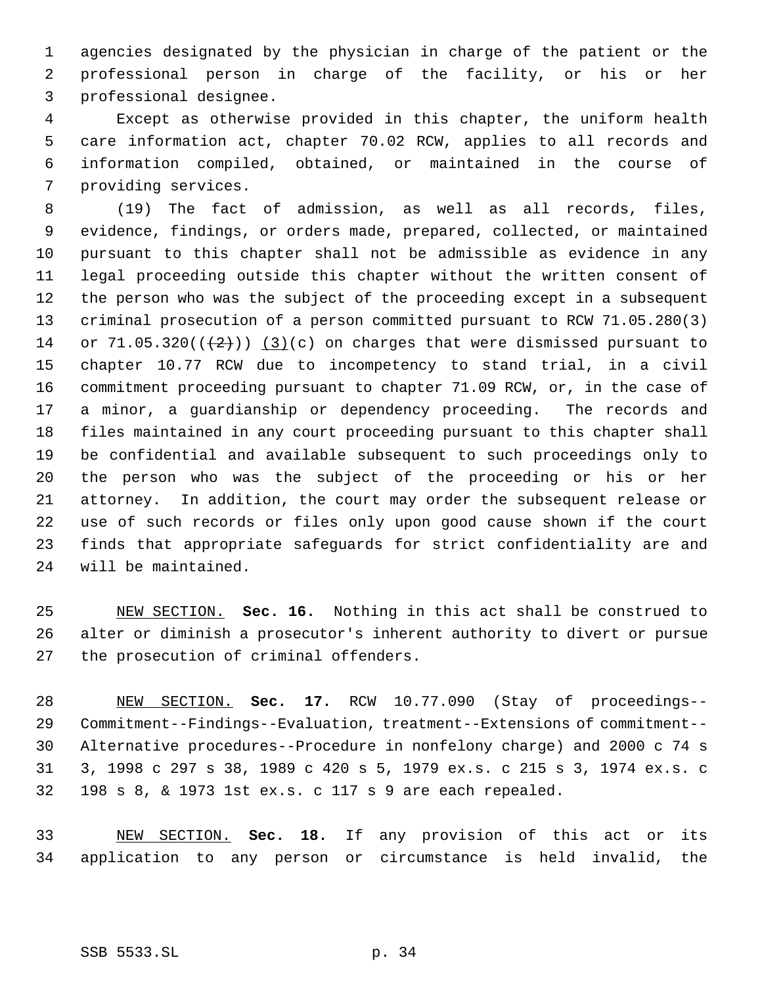agencies designated by the physician in charge of the patient or the professional person in charge of the facility, or his or her professional designee.

 Except as otherwise provided in this chapter, the uniform health care information act, chapter 70.02 RCW, applies to all records and information compiled, obtained, or maintained in the course of providing services.

 (19) The fact of admission, as well as all records, files, evidence, findings, or orders made, prepared, collected, or maintained pursuant to this chapter shall not be admissible as evidence in any legal proceeding outside this chapter without the written consent of the person who was the subject of the proceeding except in a subsequent criminal prosecution of a person committed pursuant to RCW 71.05.280(3) 14 or  $71.05.320((\left\lbrace 2 \right\rbrace))$  (3)(c) on charges that were dismissed pursuant to chapter 10.77 RCW due to incompetency to stand trial, in a civil commitment proceeding pursuant to chapter 71.09 RCW, or, in the case of a minor, a guardianship or dependency proceeding. The records and files maintained in any court proceeding pursuant to this chapter shall be confidential and available subsequent to such proceedings only to the person who was the subject of the proceeding or his or her attorney. In addition, the court may order the subsequent release or use of such records or files only upon good cause shown if the court finds that appropriate safeguards for strict confidentiality are and will be maintained.

 NEW SECTION. **Sec. 16.** Nothing in this act shall be construed to alter or diminish a prosecutor's inherent authority to divert or pursue the prosecution of criminal offenders.

 NEW SECTION. **Sec. 17.** RCW 10.77.090 (Stay of proceedings-- Commitment--Findings--Evaluation, treatment--Extensions of commitment-- Alternative procedures--Procedure in nonfelony charge) and 2000 c 74 s 3, 1998 c 297 s 38, 1989 c 420 s 5, 1979 ex.s. c 215 s 3, 1974 ex.s. c 198 s 8, & 1973 1st ex.s. c 117 s 9 are each repealed.

 NEW SECTION. **Sec. 18.** If any provision of this act or its application to any person or circumstance is held invalid, the

SSB 5533.SL p. 34